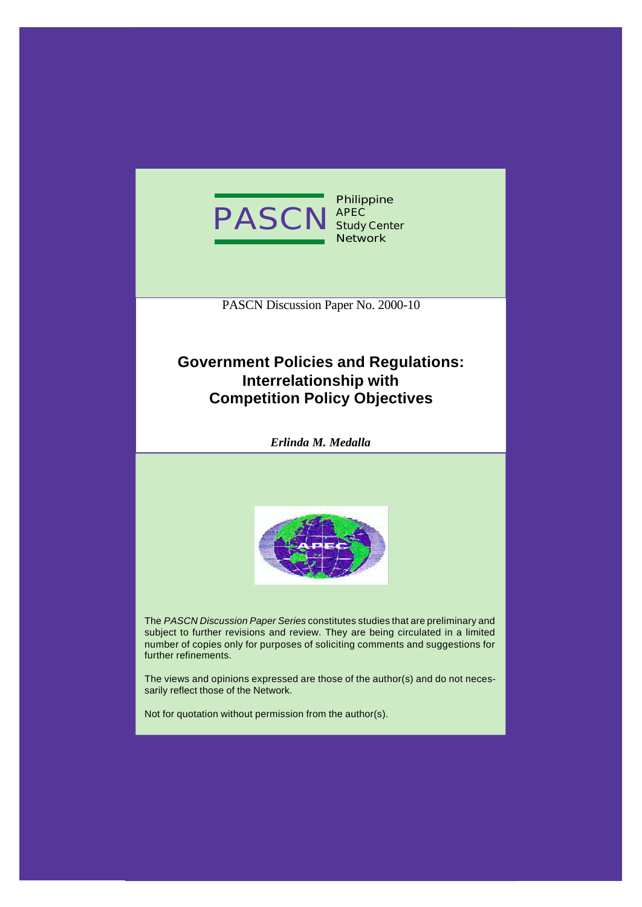

**Philippine APEC Study Center Network**

PASCN Discussion Paper No. 2000-10

# **Government Policies and Regulations: Interrelationship with Competition Policy Objectives**

*Erlinda M. Medalla*



The *PASCN Discussion Paper Series* constitutes studies that are preliminary and subject to further revisions and review. They are being circulated in a limited number of copies only for purposes of soliciting comments and suggestions for further refinements.

The views and opinions expressed are those of the author(s) and do not necessarily reflect those of the Network.

Not for quotation without permission from the author(s).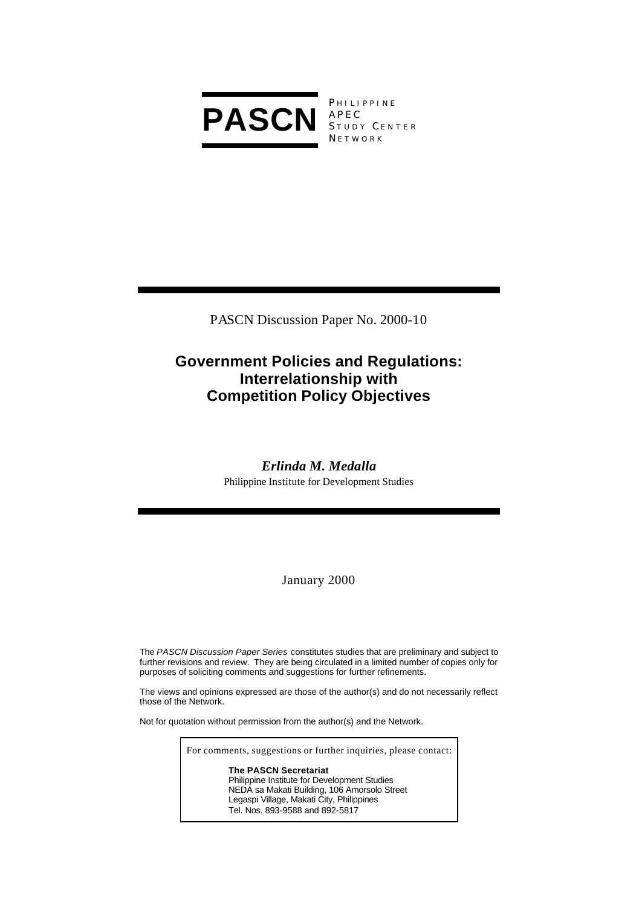

**PHILIPPINE** APEC STUDY CENTER **NETWORK** 

PASCN Discussion Paper No. 2000-10

# **Government Policies and Regulations: Interrelationship with Competition Policy Objectives**

# *Erlinda M. Medalla*

Philippine Institute for Development Studies

January 2000

The *PASCN Discussion Paper Series* constitutes studies that are preliminary and subject to further revisions and review. They are being circulated in a limited number of copies only for purposes of soliciting comments and suggestions for further refinements.

The views and opinions expressed are those of the author(s) and do not necessarily reflect those of the Network.

Not for quotation without permission from the author(s) and the Network.

For comments, suggestions or further inquiries, please contact: **The PASCN Secretariat** Philippine Institute for Development Studies NEDA sa Makati Building, 106 Amorsolo Street Legaspi Village, Makati City, Philippines Tel. Nos. 893-9588 and 892-5817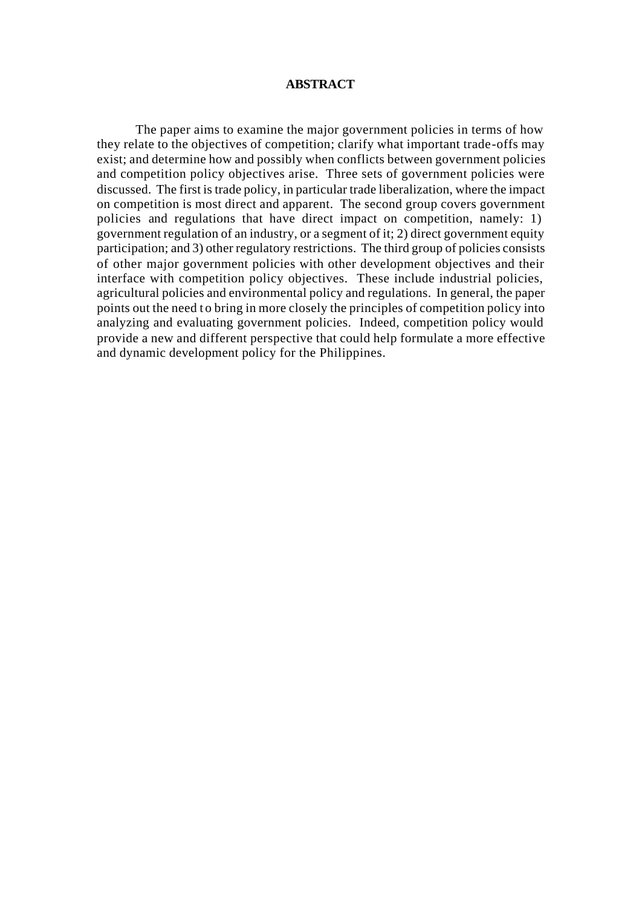#### **ABSTRACT**

The paper aims to examine the major government policies in terms of how they relate to the objectives of competition; clarify what important trade-offs may exist; and determine how and possibly when conflicts between government policies and competition policy objectives arise. Three sets of government policies were discussed. The first is trade policy, in particular trade liberalization, where the impact on competition is most direct and apparent. The second group covers government policies and regulations that have direct impact on competition, namely: 1) government regulation of an industry, or a segment of it; 2) direct government equity participation; and 3) other regulatory restrictions. The third group of policies consists of other major government policies with other development objectives and their interface with competition policy objectives. These include industrial policies, agricultural policies and environmental policy and regulations. In general, the paper points out the need t o bring in more closely the principles of competition policy into analyzing and evaluating government policies. Indeed, competition policy would provide a new and different perspective that could help formulate a more effective and dynamic development policy for the Philippines.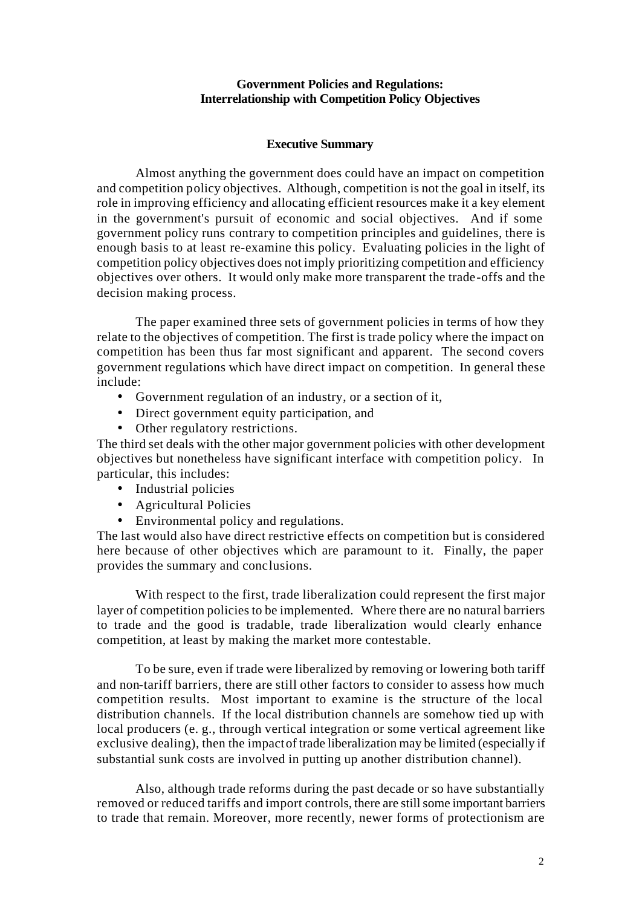## **Government Policies and Regulations: Interrelationship with Competition Policy Objectives**

## **Executive Summary**

Almost anything the government does could have an impact on competition and competition policy objectives. Although, competition is not the goal in itself, its role in improving efficiency and allocating efficient resources make it a key element in the government's pursuit of economic and social objectives. And if some government policy runs contrary to competition principles and guidelines, there is enough basis to at least re-examine this policy. Evaluating policies in the light of competition policy objectives does not imply prioritizing competition and efficiency objectives over others. It would only make more transparent the trade-offs and the decision making process.

 The paper examined three sets of government policies in terms of how they relate to the objectives of competition. The first is trade policy where the impact on competition has been thus far most significant and apparent. The second covers government regulations which have direct impact on competition. In general these include:

- Government regulation of an industry, or a section of it,
- Direct government equity participation, and
- Other regulatory restrictions.

The third set deals with the other major government policies with other development objectives but nonetheless have significant interface with competition policy. In particular, this includes:

- Industrial policies
- Agricultural Policies
- Environmental policy and regulations.

The last would also have direct restrictive effects on competition but is considered here because of other objectives which are paramount to it. Finally, the paper provides the summary and conclusions.

With respect to the first, trade liberalization could represent the first major layer of competition policies to be implemented. Where there are no natural barriers to trade and the good is tradable, trade liberalization would clearly enhance competition, at least by making the market more contestable.

To be sure, even if trade were liberalized by removing or lowering both tariff and non-tariff barriers, there are still other factors to consider to assess how much competition results. Most important to examine is the structure of the local distribution channels. If the local distribution channels are somehow tied up with local producers (e. g., through vertical integration or some vertical agreement like exclusive dealing), then the impact of trade liberalization may be limited (especially if substantial sunk costs are involved in putting up another distribution channel).

Also, although trade reforms during the past decade or so have substantially removed or reduced tariffs and import controls, there are still some important barriers to trade that remain. Moreover, more recently, newer forms of protectionism are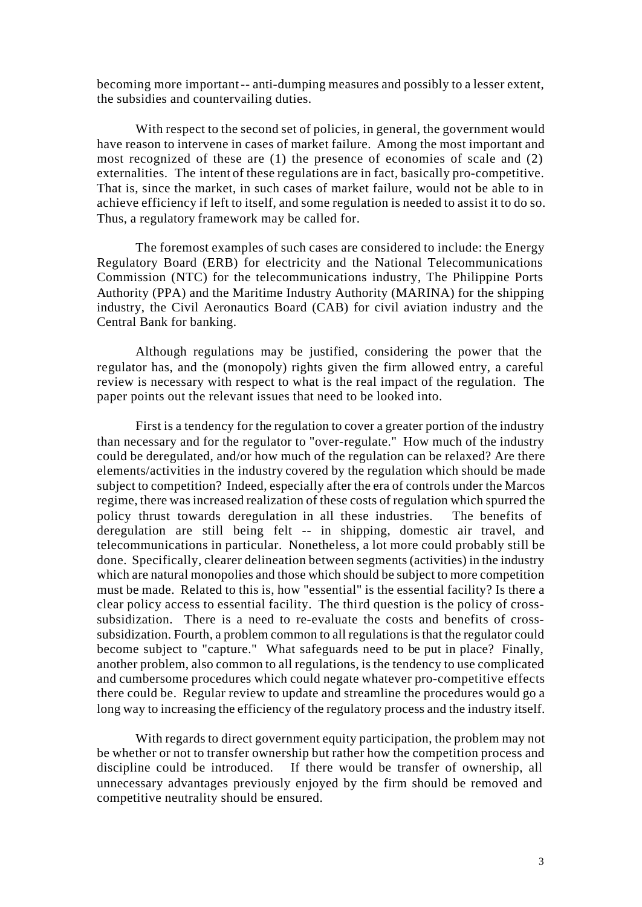becoming more important -- anti-dumping measures and possibly to a lesser extent, the subsidies and countervailing duties.

With respect to the second set of policies, in general, the government would have reason to intervene in cases of market failure. Among the most important and most recognized of these are (1) the presence of economies of scale and (2) externalities. The intent of these regulations are in fact, basically pro-competitive. That is, since the market, in such cases of market failure, would not be able to in achieve efficiency if left to itself, and some regulation is needed to assist it to do so. Thus, a regulatory framework may be called for.

The foremost examples of such cases are considered to include: the Energy Regulatory Board (ERB) for electricity and the National Telecommunications Commission (NTC) for the telecommunications industry, The Philippine Ports Authority (PPA) and the Maritime Industry Authority (MARINA) for the shipping industry, the Civil Aeronautics Board (CAB) for civil aviation industry and the Central Bank for banking.

Although regulations may be justified, considering the power that the regulator has, and the (monopoly) rights given the firm allowed entry, a careful review is necessary with respect to what is the real impact of the regulation. The paper points out the relevant issues that need to be looked into.

First is a tendency for the regulation to cover a greater portion of the industry than necessary and for the regulator to "over-regulate." How much of the industry could be deregulated, and/or how much of the regulation can be relaxed? Are there elements/activities in the industry covered by the regulation which should be made subject to competition? Indeed, especially after the era of controls under the Marcos regime, there was increased realization of these costs of regulation which spurred the policy thrust towards deregulation in all these industries. The benefits of deregulation are still being felt -- in shipping, domestic air travel, and telecommunications in particular. Nonetheless, a lot more could probably still be done. Specifically, clearer delineation between segments (activities) in the industry which are natural monopolies and those which should be subject to more competition must be made. Related to this is, how "essential" is the essential facility? Is there a clear policy access to essential facility. The third question is the policy of crosssubsidization. There is a need to re-evaluate the costs and benefits of crosssubsidization. Fourth, a problem common to all regulations is that the regulator could become subject to "capture." What safeguards need to be put in place? Finally, another problem, also common to all regulations, is the tendency to use complicated and cumbersome procedures which could negate whatever pro-competitive effects there could be. Regular review to update and streamline the procedures would go a long way to increasing the efficiency of the regulatory process and the industry itself.

With regards to direct government equity participation, the problem may not be whether or not to transfer ownership but rather how the competition process and discipline could be introduced. If there would be transfer of ownership, all unnecessary advantages previously enjoyed by the firm should be removed and competitive neutrality should be ensured.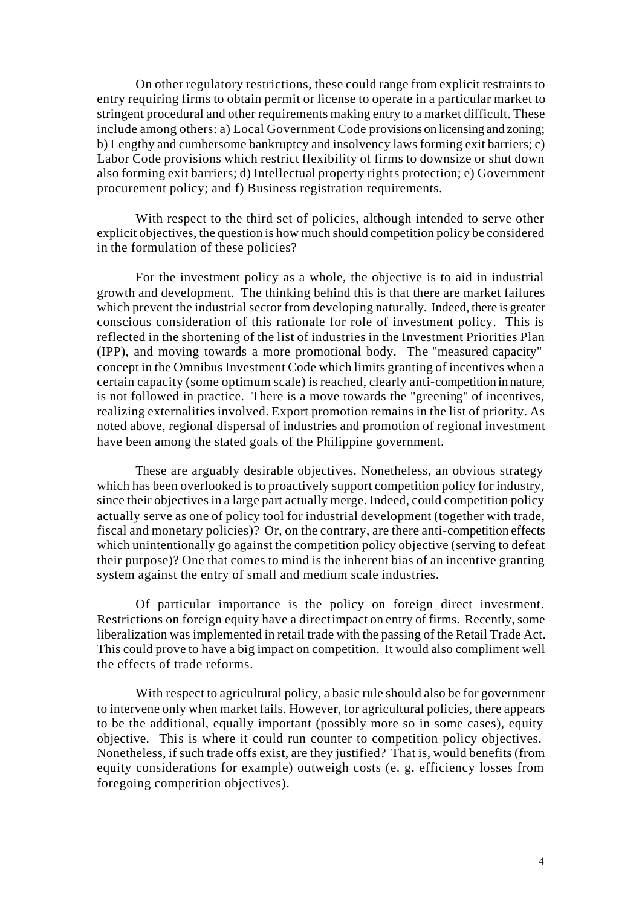On other regulatory restrictions, these could range from explicit restraints to entry requiring firms to obtain permit or license to operate in a particular market to stringent procedural and other requirements making entry to a market difficult. These include among others: a) Local Government Code provisions on licensing and zoning; b) Lengthy and cumbersome bankruptcy and insolvency laws forming exit barriers; c) Labor Code provisions which restrict flexibility of firms to downsize or shut down also forming exit barriers; d) Intellectual property rights protection; e) Government procurement policy; and f) Business registration requirements.

With respect to the third set of policies, although intended to serve other explicit objectives, the question is how much should competition policy be considered in the formulation of these policies?

For the investment policy as a whole, the objective is to aid in industrial growth and development. The thinking behind this is that there are market failures which prevent the industrial sector from developing naturally. Indeed, there is greater conscious consideration of this rationale for role of investment policy. This is reflected in the shortening of the list of industries in the Investment Priorities Plan (IPP), and moving towards a more promotional body. The "measured capacity" concept in the Omnibus Investment Code which limits granting of incentives when a certain capacity (some optimum scale) is reached, clearly anti-competition in nature, is not followed in practice. There is a move towards the "greening" of incentives, realizing externalities involved. Export promotion remains in the list of priority. As noted above, regional dispersal of industries and promotion of regional investment have been among the stated goals of the Philippine government.

These are arguably desirable objectives. Nonetheless, an obvious strategy which has been overlooked is to proactively support competition policy for industry, since their objectives in a large part actually merge. Indeed, could competition policy actually serve as one of policy tool for industrial development (together with trade, fiscal and monetary policies)? Or, on the contrary, are there anti-competition effects which unintentionally go against the competition policy objective (serving to defeat their purpose)? One that comes to mind is the inherent bias of an incentive granting system against the entry of small and medium scale industries.

Of particular importance is the policy on foreign direct investment. Restrictions on foreign equity have a direct impact on entry of firms. Recently, some liberalization was implemented in retail trade with the passing of the Retail Trade Act. This could prove to have a big impact on competition. It would also compliment well the effects of trade reforms.

With respect to agricultural policy, a basic rule should also be for government to intervene only when market fails. However, for agricultural policies, there appears to be the additional, equally important (possibly more so in some cases), equity objective. This is where it could run counter to competition policy objectives. Nonetheless, if such trade offs exist, are they justified? That is, would benefits (from equity considerations for example) outweigh costs (e. g. efficiency losses from foregoing competition objectives).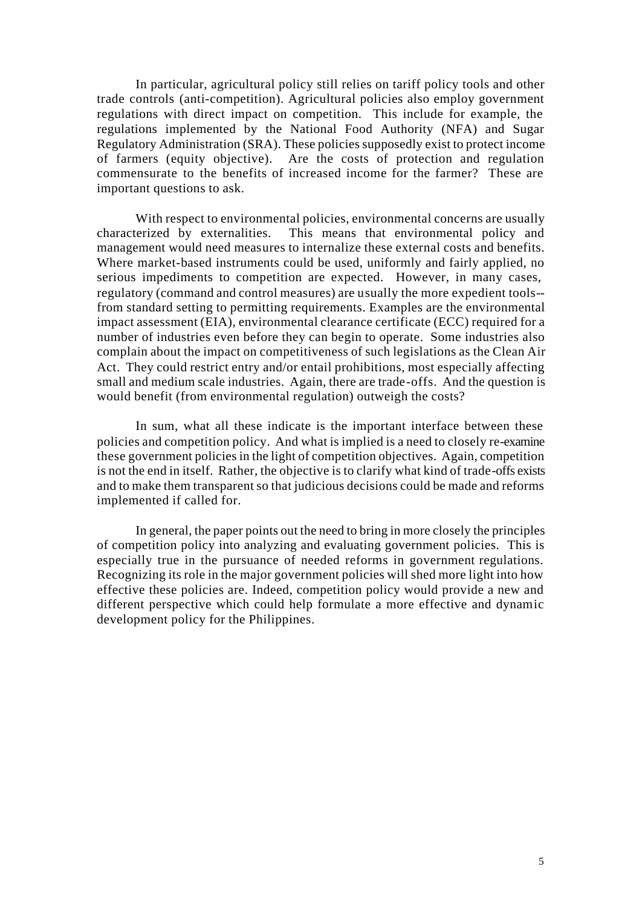In particular, agricultural policy still relies on tariff policy tools and other trade controls (anti-competition). Agricultural policies also employ government regulations with direct impact on competition. This include for example, the regulations implemented by the National Food Authority (NFA) and Sugar Regulatory Administration (SRA). These policies supposedly exist to protect income of farmers (equity objective). Are the costs of protection and regulation commensurate to the benefits of increased income for the farmer? These are important questions to ask.

With respect to environmental policies, environmental concerns are usually characterized by externalities. This means that environmental policy and management would need measures to internalize these external costs and benefits. Where market-based instruments could be used, uniformly and fairly applied, no serious impediments to competition are expected. However, in many cases, regulatory (command and control measures) are usually the more expedient tools - from standard setting to permitting requirements. Examples are the environmental impact assessment (EIA), environmental clearance certificate (ECC) required for a number of industries even before they can begin to operate. Some industries also complain about the impact on competitiveness of such legislations as the Clean Air Act. They could restrict entry and/or entail prohibitions, most especially affecting small and medium scale industries. Again, there are trade-offs. And the question is would benefit (from environmental regulation) outweigh the costs?

In sum, what all these indicate is the important interface between these policies and competition policy. And what is implied is a need to closely re-examine these government policies in the light of competition objectives. Again, competition is not the end in itself. Rather, the objective is to clarify what kind of trade-offs exists and to make them transparent so that judicious decisions could be made and reforms implemented if called for.

In general, the paper points out the need to bring in more closely the principles of competition policy into analyzing and evaluating government policies. This is especially true in the pursuance of needed reforms in government regulations. Recognizing its role in the major government policies will shed more light into how effective these policies are. Indeed, competition policy would provide a new and different perspective which could help formulate a more effective and dynamic development policy for the Philippines.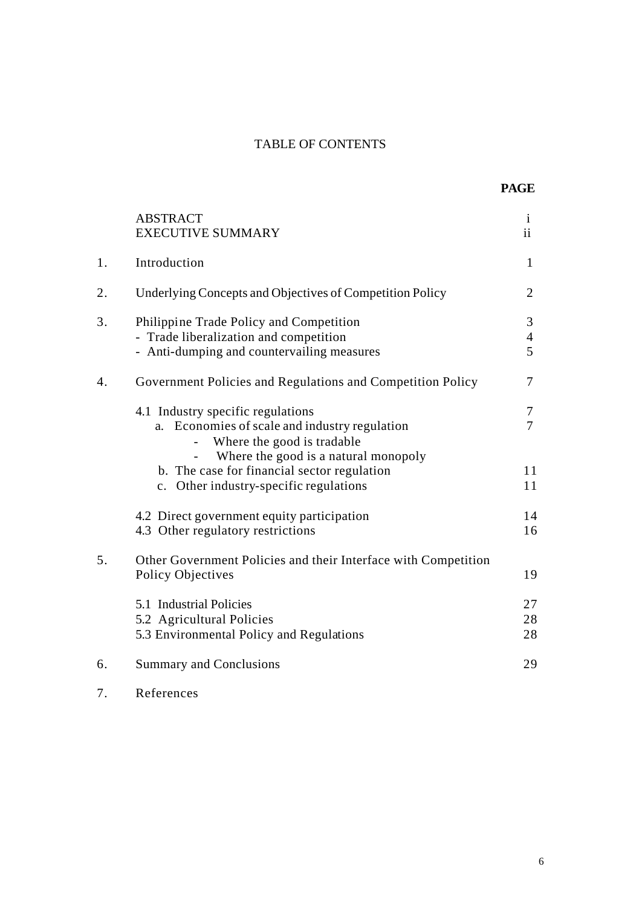# TABLE OF CONTENTS

|    | <b>ABSTRACT</b><br><b>EXECUTIVE SUMMARY</b>                                                                                     | $\mathbf{i}$<br>ii       |
|----|---------------------------------------------------------------------------------------------------------------------------------|--------------------------|
| 1. | Introduction                                                                                                                    | $\mathbf{1}$             |
| 2. | Underlying Concepts and Objectives of Competition Policy                                                                        | $\overline{2}$           |
| 3. | Philippine Trade Policy and Competition<br>- Trade liberalization and competition<br>- Anti-dumping and countervailing measures | 3<br>$\overline{4}$<br>5 |
| 4. | Government Policies and Regulations and Competition Policy                                                                      | 7                        |
|    | 4.1 Industry specific regulations<br>a. Economies of scale and industry regulation<br>Where the good is tradable                | $\tau$<br>$\overline{7}$ |
|    | Where the good is a natural monopoly<br>b. The case for financial sector regulation<br>c. Other industry-specific regulations   | 11<br>11                 |
|    | 4.2 Direct government equity participation<br>4.3 Other regulatory restrictions                                                 | 14<br>16                 |
| 5. | Other Government Policies and their Interface with Competition<br><b>Policy Objectives</b>                                      | 19                       |
|    | 5.1 Industrial Policies<br>5.2 Agricultural Policies<br>5.3 Environmental Policy and Regulations                                | 27<br>28<br>28           |
| 6. | <b>Summary and Conclusions</b>                                                                                                  | 29                       |

7. References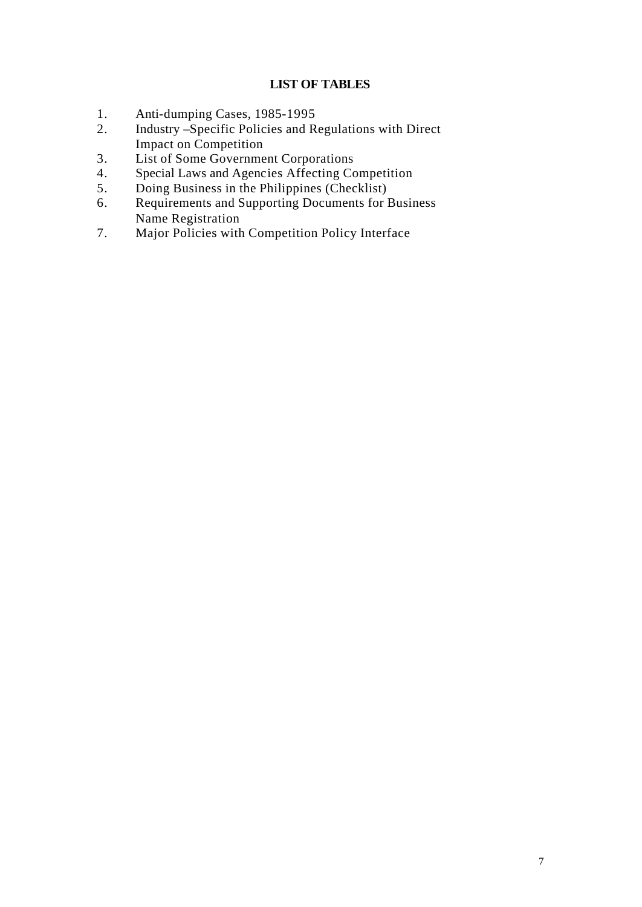# **LIST OF TABLES**

- 1. Anti-dumping Cases, 1985-1995<br>2. Industry Specific Policies and R
- Industry –Specific Policies and Regulations with Direct Impact on Competition
- 3. List of Some Government Corporations
- 4. Special Laws and Agencies Affecting Competition
- 5. Doing Business in the Philippines (Checklist)
- 6. Requirements and Supporting Documents for Business Name Registration
- 7. Major Policies with Competition Policy Interface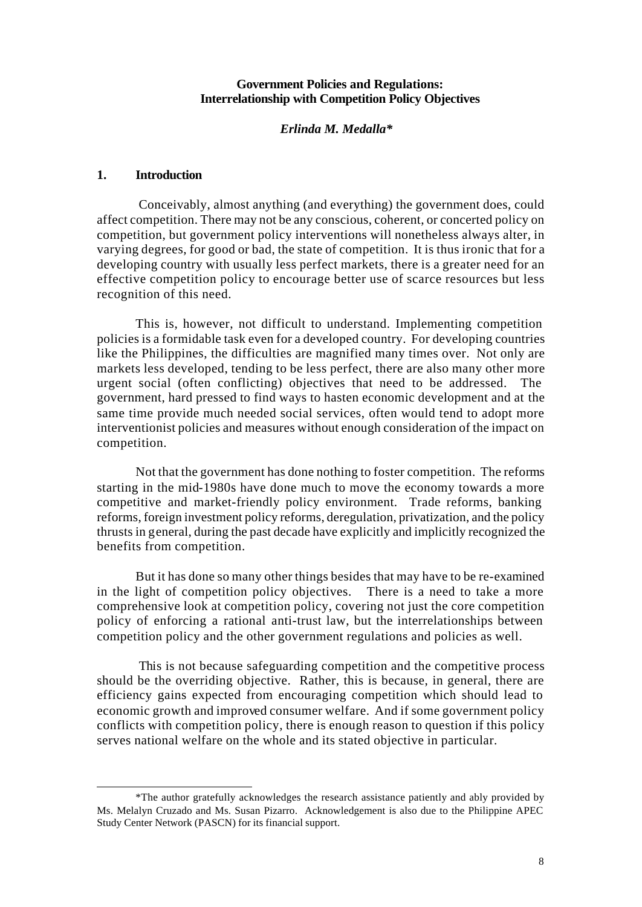## **Government Policies and Regulations: Interrelationship with Competition Policy Objectives**

## *Erlinda M. Medalla\**

### **1. Introduction**

l

 Conceivably, almost anything (and everything) the government does, could affect competition. There may not be any conscious, coherent, or concerted policy on competition, but government policy interventions will nonetheless always alter, in varying degrees, for good or bad, the state of competition. It is thus ironic that for a developing country with usually less perfect markets, there is a greater need for an effective competition policy to encourage better use of scarce resources but less recognition of this need.

This is, however, not difficult to understand. Implementing competition policies is a formidable task even for a developed country. For developing countries like the Philippines, the difficulties are magnified many times over. Not only are markets less developed, tending to be less perfect, there are also many other more urgent social (often conflicting) objectives that need to be addressed. The government, hard pressed to find ways to hasten economic development and at the same time provide much needed social services, often would tend to adopt more interventionist policies and measures without enough consideration of the impact on competition.

Not that the government has done nothing to foster competition. The reforms starting in the mid-1980s have done much to move the economy towards a more competitive and market-friendly policy environment. Trade reforms, banking reforms, foreign investment policy reforms, deregulation, privatization, and the policy thrusts in general, during the past decade have explicitly and implicitly recognized the benefits from competition.

But it has done so many other things besides that may have to be re-examined in the light of competition policy objectives. There is a need to take a more comprehensive look at competition policy, covering not just the core competition policy of enforcing a rational anti-trust law, but the interrelationships between competition policy and the other government regulations and policies as well.

 This is not because safeguarding competition and the competitive process should be the overriding objective. Rather, this is because, in general, there are efficiency gains expected from encouraging competition which should lead to economic growth and improved consumer welfare. And if some government policy conflicts with competition policy, there is enough reason to question if this policy serves national welfare on the whole and its stated objective in particular.

<sup>\*</sup>The author gratefully acknowledges the research assistance patiently and ably provided by Ms. Melalyn Cruzado and Ms. Susan Pizarro. Acknowledgement is also due to the Philippine APEC Study Center Network (PASCN) for its financial support.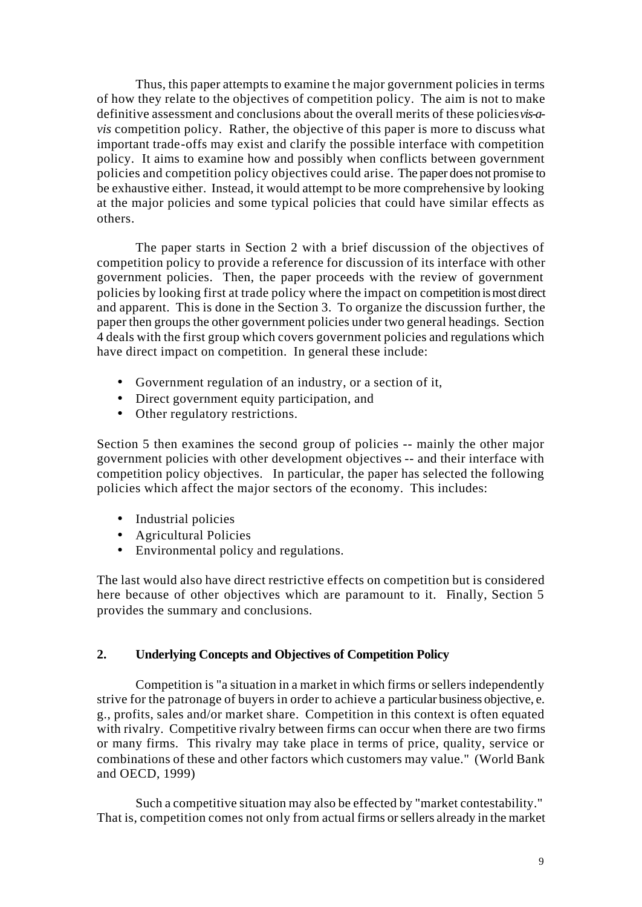Thus, this paper attempts to examine t he major government policies in terms of how they relate to the objectives of competition policy. The aim is not to make definitive assessment and conclusions about the overall merits of these policies *vis-avis* competition policy. Rather, the objective of this paper is more to discuss what important trade-offs may exist and clarify the possible interface with competition policy. It aims to examine how and possibly when conflicts between government policies and competition policy objectives could arise. The paper does not promise to be exhaustive either. Instead, it would attempt to be more comprehensive by looking at the major policies and some typical policies that could have similar effects as others.

The paper starts in Section 2 with a brief discussion of the objectives of competition policy to provide a reference for discussion of its interface with other government policies. Then, the paper proceeds with the review of government policies by looking first at trade policy where the impact on competition is most direct and apparent. This is done in the Section 3. To organize the discussion further, the paper then groups the other government policies under two general headings. Section 4 deals with the first group which covers government policies and regulations which have direct impact on competition. In general these include:

- Government regulation of an industry, or a section of it,
- Direct government equity participation, and
- Other regulatory restrictions.

Section 5 then examines the second group of policies -- mainly the other major government policies with other development objectives -- and their interface with competition policy objectives. In particular, the paper has selected the following policies which affect the major sectors of the economy. This includes:

- Industrial policies
- Agricultural Policies
- Environmental policy and regulations.

The last would also have direct restrictive effects on competition but is considered here because of other objectives which are paramount to it. Finally, Section 5 provides the summary and conclusions.

# **2. Underlying Concepts and Objectives of Competition Policy**

Competition is "a situation in a market in which firms or sellers independently strive for the patronage of buyers in order to achieve a particular business objective, e. g., profits, sales and/or market share. Competition in this context is often equated with rivalry. Competitive rivalry between firms can occur when there are two firms or many firms. This rivalry may take place in terms of price, quality, service or combinations of these and other factors which customers may value." (World Bank and OECD, 1999)

Such a competitive situation may also be effected by "market contestability." That is, competition comes not only from actual firms or sellers already in the market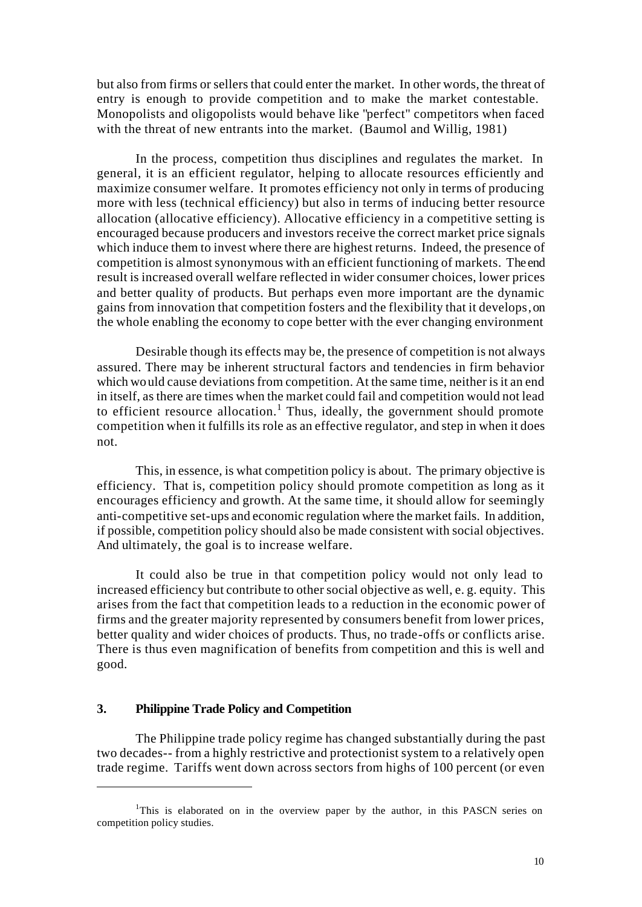but also from firms or sellers that could enter the market. In other words, the threat of entry is enough to provide competition and to make the market contestable. Monopolists and oligopolists would behave like "perfect" competitors when faced with the threat of new entrants into the market. (Baumol and Willig, 1981)

In the process, competition thus disciplines and regulates the market. In general, it is an efficient regulator, helping to allocate resources efficiently and maximize consumer welfare. It promotes efficiency not only in terms of producing more with less (technical efficiency) but also in terms of inducing better resource allocation (allocative efficiency). Allocative efficiency in a competitive setting is encouraged because producers and investors receive the correct market price signals which induce them to invest where there are highest returns. Indeed, the presence of competition is almost synonymous with an efficient functioning of markets. The end result is increased overall welfare reflected in wider consumer choices, lower prices and better quality of products. But perhaps even more important are the dynamic gains from innovation that competition fosters and the flexibility that it develops, on the whole enabling the economy to cope better with the ever changing environment

Desirable though its effects may be, the presence of competition is not always assured. There may be inherent structural factors and tendencies in firm behavior which would cause deviations from competition. At the same time, neither is it an end in itself, as there are times when the market could fail and competition would not lead to efficient resource allocation.<sup>1</sup> Thus, ideally, the government should promote competition when it fulfills its role as an effective regulator, and step in when it does not.

This, in essence, is what competition policy is about. The primary objective is efficiency. That is, competition policy should promote competition as long as it encourages efficiency and growth. At the same time, it should allow for seemingly anti-competitive set-ups and economic regulation where the market fails. In addition, if possible, competition policy should also be made consistent with social objectives. And ultimately, the goal is to increase welfare.

It could also be true in that competition policy would not only lead to increased efficiency but contribute to other social objective as well, e. g. equity. This arises from the fact that competition leads to a reduction in the economic power of firms and the greater majority represented by consumers benefit from lower prices, better quality and wider choices of products. Thus, no trade-offs or conflicts arise. There is thus even magnification of benefits from competition and this is well and good.

#### **3. Philippine Trade Policy and Competition**

l

The Philippine trade policy regime has changed substantially during the past two decades-- from a highly restrictive and protectionist system to a relatively open trade regime. Tariffs went down across sectors from highs of 100 percent (or even

<sup>&</sup>lt;sup>1</sup>This is elaborated on in the overview paper by the author, in this PASCN series on competition policy studies.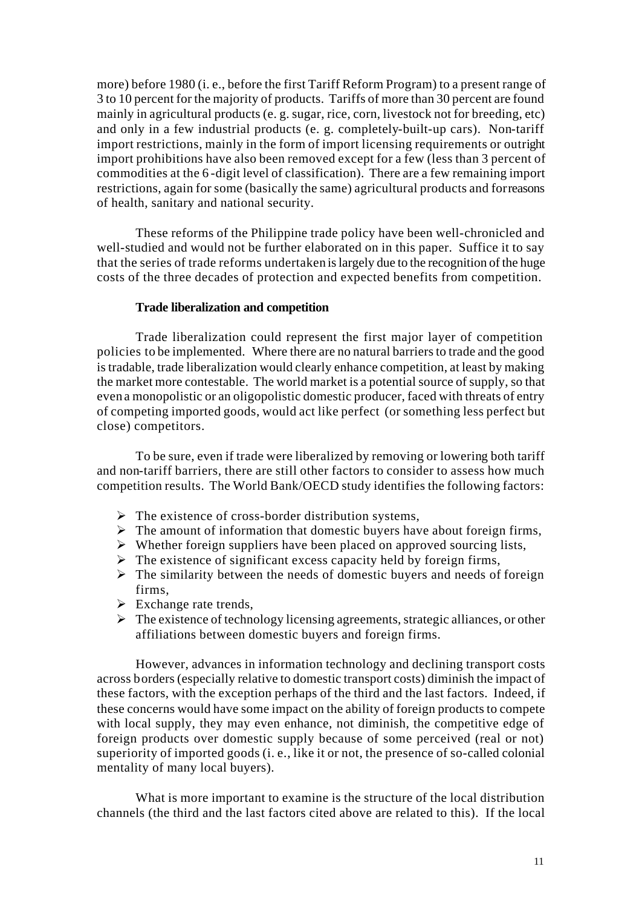more) before 1980 (i. e., before the first Tariff Reform Program) to a present range of 3 to 10 percent for the majority of products. Tariffs of more than 30 percent are found mainly in agricultural products (e. g. sugar, rice, corn, livestock not for breeding, etc) and only in a few industrial products (e. g. completely-built-up cars). Non-tariff import restrictions, mainly in the form of import licensing requirements or outright import prohibitions have also been removed except for a few (less than 3 percent of commodities at the 6 -digit level of classification). There are a few remaining import restrictions, again for some (basically the same) agricultural products and for reasons of health, sanitary and national security.

These reforms of the Philippine trade policy have been well-chronicled and well-studied and would not be further elaborated on in this paper. Suffice it to say that the series of trade reforms undertaken is largely due to the recognition of the huge costs of the three decades of protection and expected benefits from competition.

#### **Trade liberalization and competition**

Trade liberalization could represent the first major layer of competition policies to be implemented. Where there are no natural barriers to trade and the good is tradable, trade liberalization would clearly enhance competition, at least by making the market more contestable. The world market is a potential source of supply, so that even a monopolistic or an oligopolistic domestic producer, faced with threats of entry of competing imported goods, would act like perfect (or something less perfect but close) competitors.

To be sure, even if trade were liberalized by removing or lowering both tariff and non-tariff barriers, there are still other factors to consider to assess how much competition results. The World Bank/OECD study identifies the following factors:

- $\triangleright$  The existence of cross-border distribution systems,
- $\triangleright$  The amount of information that domestic buyers have about foreign firms,
- $\triangleright$  Whether foreign suppliers have been placed on approved sourcing lists,
- $\triangleright$  The existence of significant excess capacity held by foreign firms,
- $\triangleright$  The similarity between the needs of domestic buyers and needs of foreign firms,
- $\triangleright$  Exchange rate trends,
- $\triangleright$  The existence of technology licensing agreements, strategic alliances, or other affiliations between domestic buyers and foreign firms.

However, advances in information technology and declining transport costs across borders (especially relative to domestic transport costs) diminish the impact of these factors, with the exception perhaps of the third and the last factors. Indeed, if these concerns would have some impact on the ability of foreign products to compete with local supply, they may even enhance, not diminish, the competitive edge of foreign products over domestic supply because of some perceived (real or not) superiority of imported goods (i. e., like it or not, the presence of so-called colonial mentality of many local buyers).

What is more important to examine is the structure of the local distribution channels (the third and the last factors cited above are related to this). If the local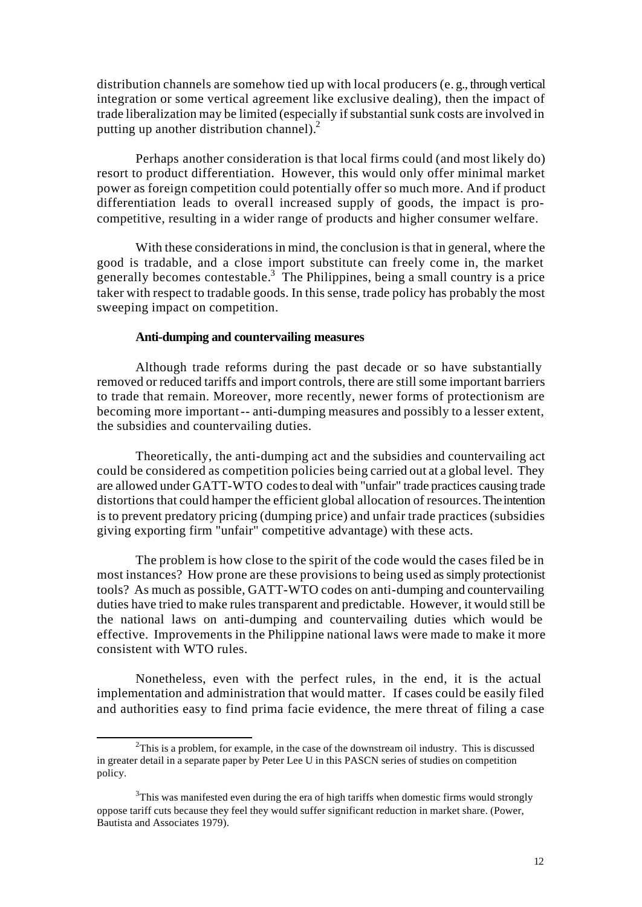distribution channels are somehow tied up with local producers (e. g., through vertical integration or some vertical agreement like exclusive dealing), then the impact of trade liberalization may be limited (especially if substantial sunk costs are involved in putting up another distribution channel).<sup>2</sup>

Perhaps another consideration is that local firms could (and most likely do) resort to product differentiation. However, this would only offer minimal market power as foreign competition could potentially offer so much more. And if product differentiation leads to overall increased supply of goods, the impact is procompetitive, resulting in a wider range of products and higher consumer welfare.

With these considerations in mind, the conclusion is that in general, where the good is tradable, and a close import substitute can freely come in, the market generally becomes contestable.<sup>3</sup> The Philippines, being a small country is a price taker with respect to tradable goods. In this sense, trade policy has probably the most sweeping impact on competition.

### **Anti-dumping and countervailing measures**

Although trade reforms during the past decade or so have substantially removed or reduced tariffs and import controls, there are still some important barriers to trade that remain. Moreover, more recently, newer forms of protectionism are becoming more important -- anti-dumping measures and possibly to a lesser extent, the subsidies and countervailing duties.

Theoretically, the anti-dumping act and the subsidies and countervailing act could be considered as competition policies being carried out at a global level. They are allowed under GATT-WTO codes to deal with "unfair" trade practices causing trade distortions that could hamper the efficient global allocation of resources. The intention is to prevent predatory pricing (dumping price) and unfair trade practices (subsidies giving exporting firm "unfair" competitive advantage) with these acts.

The problem is how close to the spirit of the code would the cases filed be in most instances? How prone are these provisions to being used as simply protectionist tools? As much as possible, GATT-WTO codes on anti-dumping and countervailing duties have tried to make rules transparent and predictable. However, it would still be the national laws on anti-dumping and countervailing duties which would be effective. Improvements in the Philippine national laws were made to make it more consistent with WTO rules.

Nonetheless, even with the perfect rules, in the end, it is the actual implementation and administration that would matter. If cases could be easily filed and authorities easy to find prima facie evidence, the mere threat of filing a case

l

 $2$ This is a problem, for example, in the case of the downstream oil industry. This is discussed in greater detail in a separate paper by Peter Lee U in this PASCN series of studies on competition policy.

 $3$ This was manifested even during the era of high tariffs when domestic firms would strongly oppose tariff cuts because they feel they would suffer significant reduction in market share. (Power, Bautista and Associates 1979).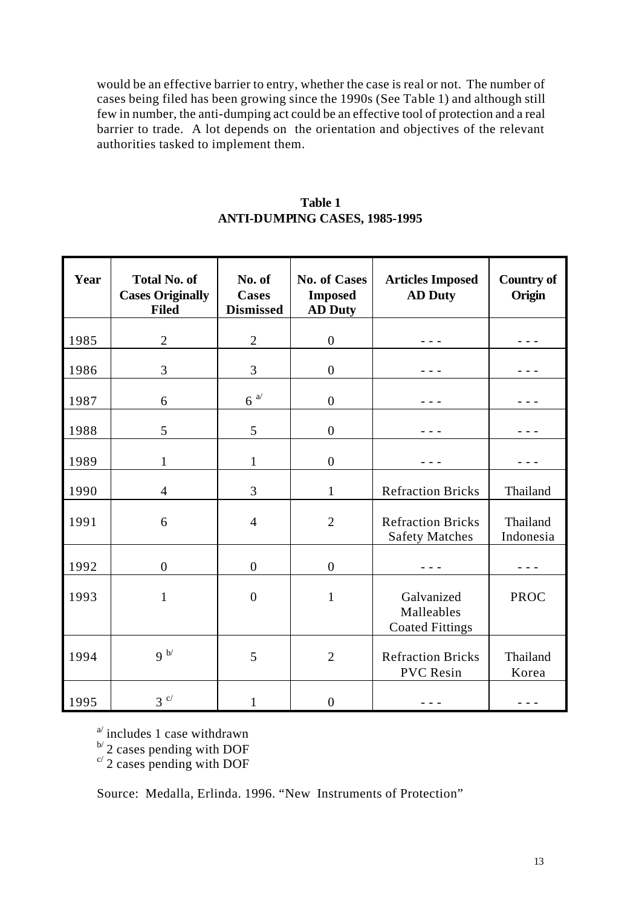would be an effective barrier to entry, whether the case is real or not. The number of cases being filed has been growing since the 1990s (See Table 1) and although still few in number, the anti-dumping act could be an effective tool of protection and a real barrier to trade. A lot depends on the orientation and objectives of the relevant authorities tasked to implement them.

| Table 1                              |  |  |  |
|--------------------------------------|--|--|--|
| <b>ANTI-DUMPING CASES, 1985-1995</b> |  |  |  |

| Year | <b>Total No. of</b><br><b>Cases Originally</b><br><b>Filed</b> | No. of<br><b>Cases</b><br><b>Dismissed</b> | <b>No. of Cases</b><br><b>Imposed</b><br><b>AD Duty</b> | <b>Articles Imposed</b><br><b>AD Duty</b>                                  | <b>Country of</b><br>Origin |
|------|----------------------------------------------------------------|--------------------------------------------|---------------------------------------------------------|----------------------------------------------------------------------------|-----------------------------|
| 1985 | $\overline{2}$                                                 | $\overline{2}$                             | $\overline{0}$                                          |                                                                            |                             |
| 1986 | 3                                                              | 3                                          | $\boldsymbol{0}$                                        |                                                                            |                             |
| 1987 | 6                                                              | $6^{a/}$                                   | $\boldsymbol{0}$                                        |                                                                            |                             |
| 1988 | 5                                                              | 5                                          | $\overline{0}$                                          |                                                                            |                             |
| 1989 | 1                                                              | $\mathbf{1}$                               | $\overline{0}$                                          |                                                                            |                             |
| 1990 | 4                                                              | 3                                          | $\mathbf{1}$                                            | <b>Refraction Bricks</b>                                                   | Thailand                    |
| 1991 | 6                                                              | $\overline{4}$                             | $\overline{2}$                                          | <b>Refraction Bricks</b><br>Thailand<br><b>Safety Matches</b><br>Indonesia |                             |
| 1992 | $\boldsymbol{0}$                                               | $\boldsymbol{0}$                           | $\overline{0}$                                          |                                                                            |                             |
| 1993 | $\mathbf{1}$                                                   | $\boldsymbol{0}$                           | $\mathbf{1}$                                            | Galvanized<br><b>PROC</b><br>Malleables<br><b>Coated Fittings</b>          |                             |
| 1994 | 9 <sup>b</sup>                                                 | 5                                          | $\overline{2}$                                          | <b>Refraction Bricks</b><br><b>PVC</b> Resin                               | Thailand<br>Korea           |
| 1995 | $3^{c/}$                                                       | 1                                          | $\boldsymbol{0}$                                        |                                                                            |                             |

 $a^{\prime}$  includes 1 case withdrawn

 $\mathbb{P}'$  2 cases pending with DOF

 $c/2$  cases pending with DOF

Source: Medalla, Erlinda. 1996. "New Instruments of Protection"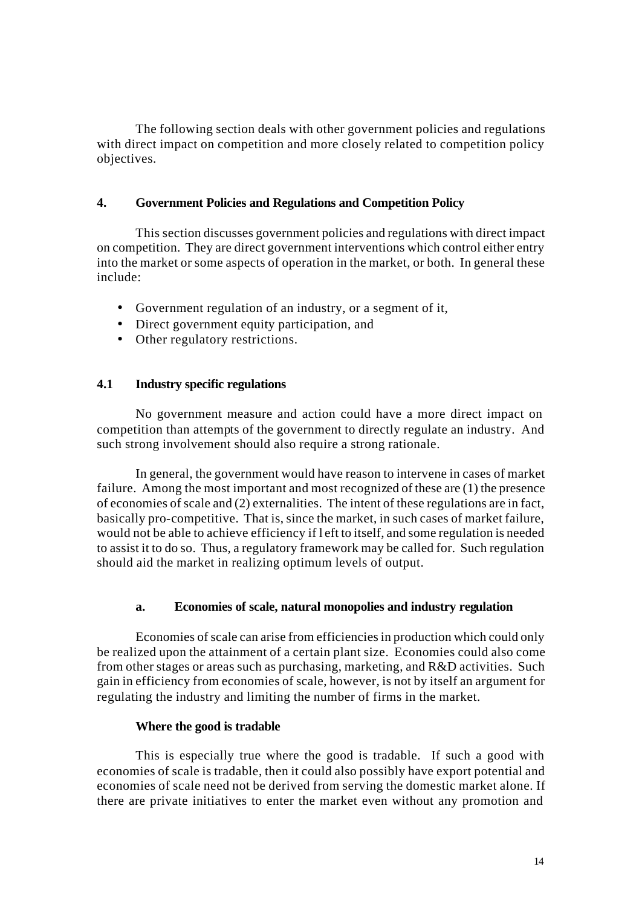The following section deals with other government policies and regulations with direct impact on competition and more closely related to competition policy objectives.

## **4. Government Policies and Regulations and Competition Policy**

This section discusses government policies and regulations with direct impact on competition. They are direct government interventions which control either entry into the market or some aspects of operation in the market, or both. In general these include:

- Government regulation of an industry, or a segment of it,
- Direct government equity participation, and
- Other regulatory restrictions.

# **4.1 Industry specific regulations**

No government measure and action could have a more direct impact on competition than attempts of the government to directly regulate an industry. And such strong involvement should also require a strong rationale.

In general, the government would have reason to intervene in cases of market failure. Among the most important and most recognized of these are (1) the presence of economies of scale and (2) externalities. The intent of these regulations are in fact, basically pro-competitive. That is, since the market, in such cases of market failure, would not be able to achieve efficiency if l eft to itself, and some regulation is needed to assist it to do so. Thus, a regulatory framework may be called for. Such regulation should aid the market in realizing optimum levels of output.

## **a. Economies of scale, natural monopolies and industry regulation**

Economies of scale can arise from efficiencies in production which could only be realized upon the attainment of a certain plant size. Economies could also come from other stages or areas such as purchasing, marketing, and R&D activities. Such gain in efficiency from economies of scale, however, is not by itself an argument for regulating the industry and limiting the number of firms in the market.

### **Where the good is tradable**

This is especially true where the good is tradable. If such a good with economies of scale is tradable, then it could also possibly have export potential and economies of scale need not be derived from serving the domestic market alone. If there are private initiatives to enter the market even without any promotion and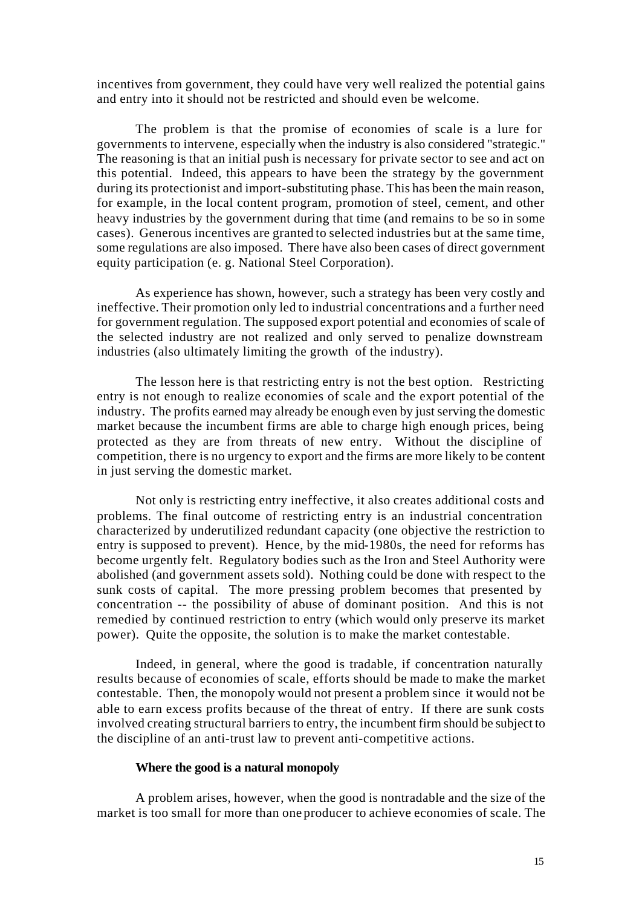incentives from government, they could have very well realized the potential gains and entry into it should not be restricted and should even be welcome.

The problem is that the promise of economies of scale is a lure for governments to intervene, especially when the industry is also considered "strategic." The reasoning is that an initial push is necessary for private sector to see and act on this potential. Indeed, this appears to have been the strategy by the government during its protectionist and import-substituting phase. This has been the main reason, for example, in the local content program, promotion of steel, cement, and other heavy industries by the government during that time (and remains to be so in some cases). Generous incentives are granted to selected industries but at the same time, some regulations are also imposed. There have also been cases of direct government equity participation (e. g. National Steel Corporation).

As experience has shown, however, such a strategy has been very costly and ineffective. Their promotion only led to industrial concentrations and a further need for government regulation. The supposed export potential and economies of scale of the selected industry are not realized and only served to penalize downstream industries (also ultimately limiting the growth of the industry).

The lesson here is that restricting entry is not the best option. Restricting entry is not enough to realize economies of scale and the export potential of the industry. The profits earned may already be enough even by just serving the domestic market because the incumbent firms are able to charge high enough prices, being protected as they are from threats of new entry. Without the discipline of competition, there is no urgency to export and the firms are more likely to be content in just serving the domestic market.

Not only is restricting entry ineffective, it also creates additional costs and problems. The final outcome of restricting entry is an industrial concentration characterized by underutilized redundant capacity (one objective the restriction to entry is supposed to prevent). Hence, by the mid-1980s, the need for reforms has become urgently felt. Regulatory bodies such as the Iron and Steel Authority were abolished (and government assets sold). Nothing could be done with respect to the sunk costs of capital. The more pressing problem becomes that presented by concentration -- the possibility of abuse of dominant position. And this is not remedied by continued restriction to entry (which would only preserve its market power). Quite the opposite, the solution is to make the market contestable.

Indeed, in general, where the good is tradable, if concentration naturally results because of economies of scale, efforts should be made to make the market contestable. Then, the monopoly would not present a problem since it would not be able to earn excess profits because of the threat of entry. If there are sunk costs involved creating structural barriers to entry, the incumbent firm should be subject to the discipline of an anti-trust law to prevent anti-competitive actions.

## **Where the good is a natural monopoly**

A problem arises, however, when the good is nontradable and the size of the market is too small for more than one producer to achieve economies of scale. The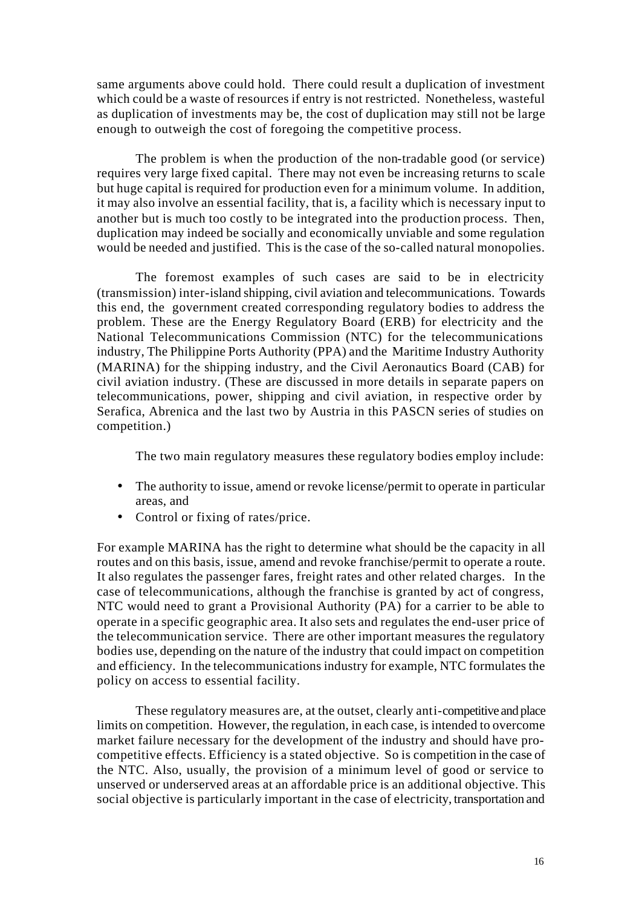same arguments above could hold. There could result a duplication of investment which could be a waste of resources if entry is not restricted. Nonetheless, wasteful as duplication of investments may be, the cost of duplication may still not be large enough to outweigh the cost of foregoing the competitive process.

The problem is when the production of the non-tradable good (or service) requires very large fixed capital. There may not even be increasing returns to scale but huge capital is required for production even for a minimum volume. In addition, it may also involve an essential facility, that is, a facility which is necessary input to another but is much too costly to be integrated into the production process. Then, duplication may indeed be socially and economically unviable and some regulation would be needed and justified. This is the case of the so-called natural monopolies.

The foremost examples of such cases are said to be in electricity (transmission) inter-island shipping, civil aviation and telecommunications. Towards this end, the government created corresponding regulatory bodies to address the problem. These are the Energy Regulatory Board (ERB) for electricity and the National Telecommunications Commission (NTC) for the telecommunications industry, The Philippine Ports Authority (PPA) and the Maritime Industry Authority (MARINA) for the shipping industry, and the Civil Aeronautics Board (CAB) for civil aviation industry. (These are discussed in more details in separate papers on telecommunications, power, shipping and civil aviation, in respective order by Serafica, Abrenica and the last two by Austria in this PASCN series of studies on competition.)

The two main regulatory measures these regulatory bodies employ include:

- The authority to issue, amend or revoke license/permit to operate in particular areas, and
- Control or fixing of rates/price.

For example MARINA has the right to determine what should be the capacity in all routes and on this basis, issue, amend and revoke franchise/permit to operate a route. It also regulates the passenger fares, freight rates and other related charges. In the case of telecommunications, although the franchise is granted by act of congress, NTC would need to grant a Provisional Authority (PA) for a carrier to be able to operate in a specific geographic area. It also sets and regulates the end-user price of the telecommunication service. There are other important measures the regulatory bodies use, depending on the nature of the industry that could impact on competition and efficiency. In the telecommunications industry for example, NTC formulates the policy on access to essential facility.

These regulatory measures are, at the outset, clearly anti-competitive and place limits on competition. However, the regulation, in each case, is intended to overcome market failure necessary for the development of the industry and should have procompetitive effects. Efficiency is a stated objective. So is competition in the case of the NTC. Also, usually, the provision of a minimum level of good or service to unserved or underserved areas at an affordable price is an additional objective. This social objective is particularly important in the case of electricity, transportation and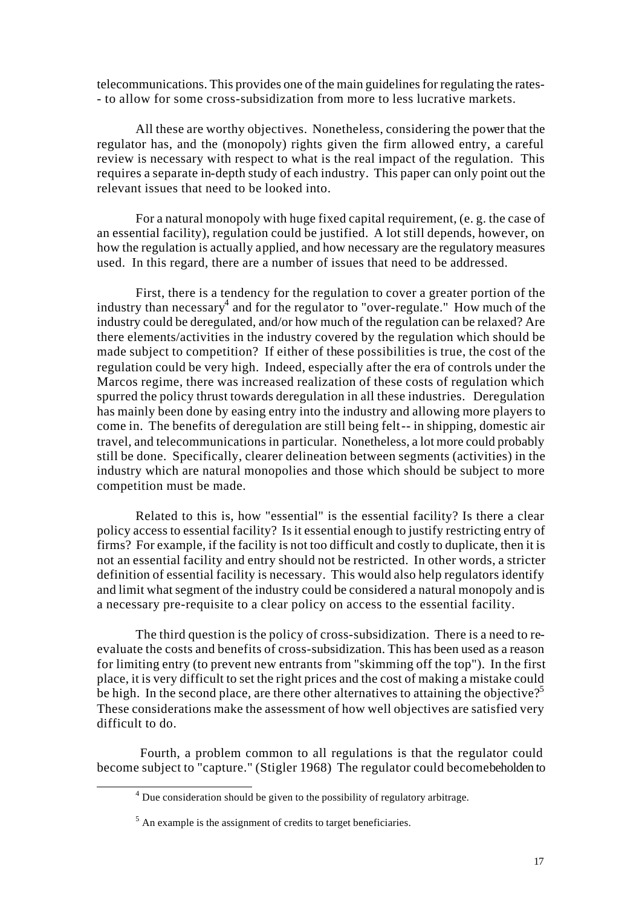telecommunications. This provides one of the main guidelines for regulating the rates- - to allow for some cross-subsidization from more to less lucrative markets.

All these are worthy objectives. Nonetheless, considering the power that the regulator has, and the (monopoly) rights given the firm allowed entry, a careful review is necessary with respect to what is the real impact of the regulation. This requires a separate in-depth study of each industry. This paper can only point out the relevant issues that need to be looked into.

For a natural monopoly with huge fixed capital requirement, (e. g. the case of an essential facility), regulation could be justified. A lot still depends, however, on how the regulation is actually applied, and how necessary are the regulatory measures used. In this regard, there are a number of issues that need to be addressed.

First, there is a tendency for the regulation to cover a greater portion of the industry than necessary<sup>4</sup> and for the regulator to "over-regulate." How much of the industry could be deregulated, and/or how much of the regulation can be relaxed? Are there elements/activities in the industry covered by the regulation which should be made subject to competition? If either of these possibilities is true, the cost of the regulation could be very high. Indeed, especially after the era of controls under the Marcos regime, there was increased realization of these costs of regulation which spurred the policy thrust towards deregulation in all these industries. Deregulation has mainly been done by easing entry into the industry and allowing more players to come in. The benefits of deregulation are still being felt -- in shipping, domestic air travel, and telecommunications in particular. Nonetheless, a lot more could probably still be done. Specifically, clearer delineation between segments (activities) in the industry which are natural monopolies and those which should be subject to more competition must be made.

Related to this is, how "essential" is the essential facility? Is there a clear policy access to essential facility? Is it essential enough to justify restricting entry of firms? For example, if the facility is not too difficult and costly to duplicate, then it is not an essential facility and entry should not be restricted. In other words, a stricter definition of essential facility is necessary. This would also help regulators identify and limit what segment of the industry could be considered a natural monopoly and is a necessary pre-requisite to a clear policy on access to the essential facility.

The third question is the policy of cross-subsidization. There is a need to reevaluate the costs and benefits of cross-subsidization. This has been used as a reason for limiting entry (to prevent new entrants from "skimming off the top"). In the first place, it is very difficult to set the right prices and the cost of making a mistake could be high. In the second place, are there other alternatives to attaining the objective?<sup>5</sup> These considerations make the assessment of how well objectives are satisfied very difficult to do.

 Fourth, a problem common to all regulations is that the regulator could become subject to "capture." (Stigler 1968) The regulator could become beholden to

l

 $4$  Due consideration should be given to the possibility of regulatory arbitrage.

 $<sup>5</sup>$  An example is the assignment of credits to target beneficiaries.</sup>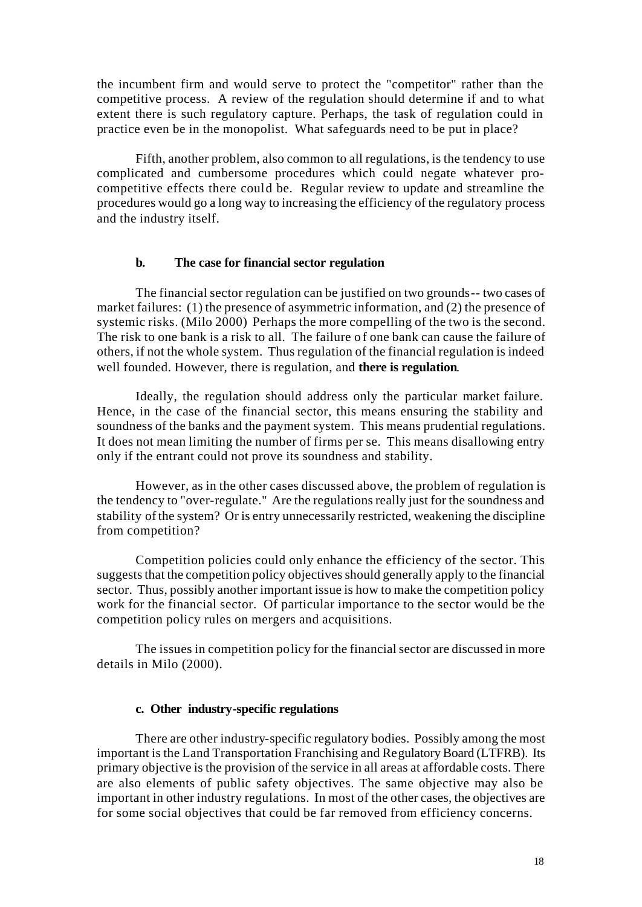the incumbent firm and would serve to protect the "competitor" rather than the competitive process. A review of the regulation should determine if and to what extent there is such regulatory capture. Perhaps, the task of regulation could in practice even be in the monopolist. What safeguards need to be put in place?

Fifth, another problem, also common to all regulations, is the tendency to use complicated and cumbersome procedures which could negate whatever procompetitive effects there could be. Regular review to update and streamline the procedures would go a long way to increasing the efficiency of the regulatory process and the industry itself.

#### **b. The case for financial sector regulation**

The financial sector regulation can be justified on two grounds-- two cases of market failures: (1) the presence of asymmetric information, and (2) the presence of systemic risks. (Milo 2000) Perhaps the more compelling of the two is the second. The risk to one bank is a risk to all. The failure of one bank can cause the failure of others, if not the whole system. Thus regulation of the financial regulation is indeed well founded. However, there is regulation, and **there is regulation**.

Ideally, the regulation should address only the particular market failure. Hence, in the case of the financial sector, this means ensuring the stability and soundness of the banks and the payment system. This means prudential regulations. It does not mean limiting the number of firms per se. This means disallowing entry only if the entrant could not prove its soundness and stability.

However, as in the other cases discussed above, the problem of regulation is the tendency to "over-regulate." Are the regulations really just for the soundness and stability of the system? Or is entry unnecessarily restricted, weakening the discipline from competition?

Competition policies could only enhance the efficiency of the sector. This suggests that the competition policy objectives should generally apply to the financial sector. Thus, possibly another important issue is how to make the competition policy work for the financial sector. Of particular importance to the sector would be the competition policy rules on mergers and acquisitions.

The issues in competition policy for the financial sector are discussed in more details in Milo (2000).

#### **c. Other industry-specific regulations**

There are other industry-specific regulatory bodies. Possibly among the most important is the Land Transportation Franchising and Regulatory Board (LTFRB). Its primary objective is the provision of the service in all areas at affordable costs. There are also elements of public safety objectives. The same objective may also be important in other industry regulations. In most of the other cases, the objectives are for some social objectives that could be far removed from efficiency concerns.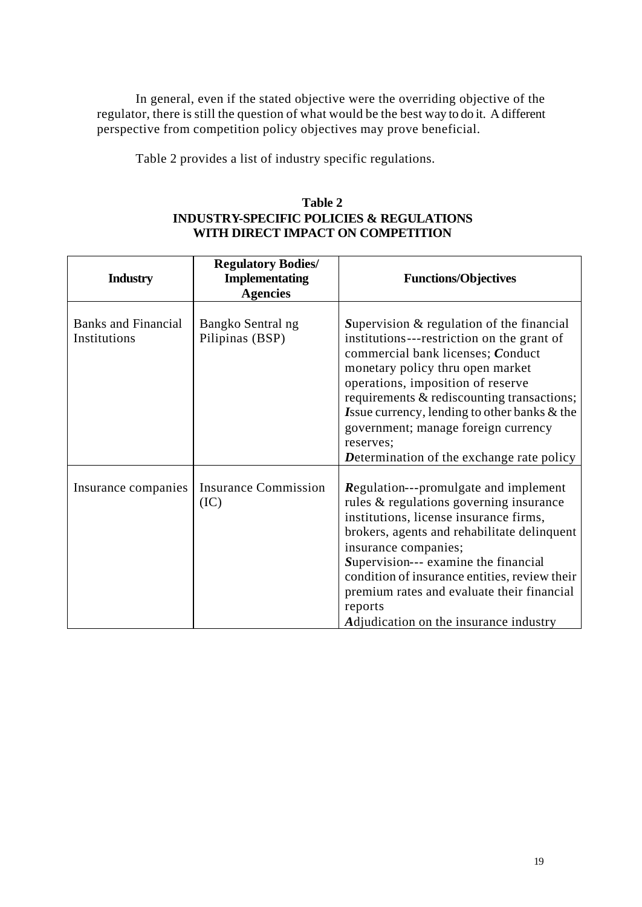In general, even if the stated objective were the overriding objective of the regulator, there is still the question of what would be the best way to do it. A different perspective from competition policy objectives may prove beneficial.

Table 2 provides a list of industry specific regulations.

# **Table 2 INDUSTRY-SPECIFIC POLICIES & REGULATIONS WITH DIRECT IMPACT ON COMPETITION**

| <b>Industry</b>                            | <b>Regulatory Bodies/</b><br><b>Implementating</b><br><b>Agencies</b> | <b>Functions/Objectives</b>                                                                                                                                                                                                                                                                                                                                                                                       |
|--------------------------------------------|-----------------------------------------------------------------------|-------------------------------------------------------------------------------------------------------------------------------------------------------------------------------------------------------------------------------------------------------------------------------------------------------------------------------------------------------------------------------------------------------------------|
| <b>Banks and Financial</b><br>Institutions | Bangko Sentral ng<br>Pilipinas (BSP)                                  | Supervision $&$ regulation of the financial<br>institutions---restriction on the grant of<br>commercial bank licenses; Conduct<br>monetary policy thru open market<br>operations, imposition of reserve<br>requirements & rediscounting transactions;<br><b>Issue currency, lending to other banks &amp; the</b><br>government; manage foreign currency<br>reserves;<br>Determination of the exchange rate policy |
| Insurance companies                        | <b>Insurance Commission</b><br>(IC)                                   | <b>Regulation---promulgate and implement</b><br>rules & regulations governing insurance<br>institutions, license insurance firms,<br>brokers, agents and rehabilitate delinquent<br>insurance companies;<br>Supervision--- examine the financial<br>condition of insurance entities, review their<br>premium rates and evaluate their financial<br>reports<br>Adjudication on the insurance industry              |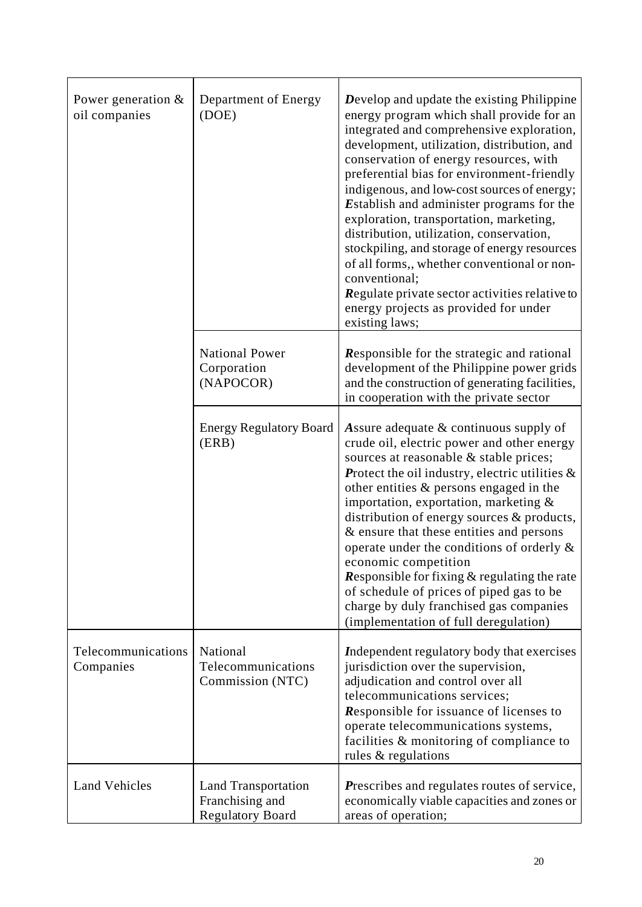| Power generation $\&$<br>oil companies | Department of Energy<br>(DOE)                                            | Develop and update the existing Philippine<br>energy program which shall provide for an<br>integrated and comprehensive exploration,<br>development, utilization, distribution, and<br>conservation of energy resources, with<br>preferential bias for environment-friendly<br>indigenous, and low-cost sources of energy;<br><b>Establish and administer programs for the</b><br>exploration, transportation, marketing,<br>distribution, utilization, conservation,<br>stockpiling, and storage of energy resources<br>of all forms,, whether conventional or non-<br>conventional;<br>Regulate private sector activities relative to<br>energy projects as provided for under<br>existing laws; |  |
|----------------------------------------|--------------------------------------------------------------------------|----------------------------------------------------------------------------------------------------------------------------------------------------------------------------------------------------------------------------------------------------------------------------------------------------------------------------------------------------------------------------------------------------------------------------------------------------------------------------------------------------------------------------------------------------------------------------------------------------------------------------------------------------------------------------------------------------|--|
|                                        | <b>National Power</b><br>Corporation<br>(NAPOCOR)                        | Responsible for the strategic and rational<br>development of the Philippine power grids<br>and the construction of generating facilities,<br>in cooperation with the private sector                                                                                                                                                                                                                                                                                                                                                                                                                                                                                                                |  |
|                                        | <b>Energy Regulatory Board</b><br>(ERB)                                  | Assure adequate & continuous supply of<br>crude oil, electric power and other energy<br>sources at reasonable & stable prices;<br><b>Protect the oil industry, electric utilities <math>\&amp;</math></b><br>other entities $\&$ persons engaged in the<br>importation, exportation, marketing &<br>distribution of energy sources & products,<br>& ensure that these entities and persons<br>operate under the conditions of orderly &<br>economic competition<br><b>Responsible for fixing <math>\&amp;</math> regulating the rate</b><br>of schedule of prices of piped gas to be<br>charge by duly franchised gas companies<br>(implementation of full deregulation)                           |  |
| Telecommunications<br>Companies        | National<br>Telecommunications<br>Commission (NTC)                       | Independent regulatory body that exercises<br>jurisdiction over the supervision,<br>adjudication and control over all<br>telecommunications services;<br><b>Responsible for issuance of licenses to</b><br>operate telecommunications systems,<br>facilities & monitoring of compliance to<br>rules & regulations                                                                                                                                                                                                                                                                                                                                                                                  |  |
| <b>Land Vehicles</b>                   | <b>Land Transportation</b><br>Franchising and<br><b>Regulatory Board</b> | Prescribes and regulates routes of service,<br>economically viable capacities and zones or<br>areas of operation;                                                                                                                                                                                                                                                                                                                                                                                                                                                                                                                                                                                  |  |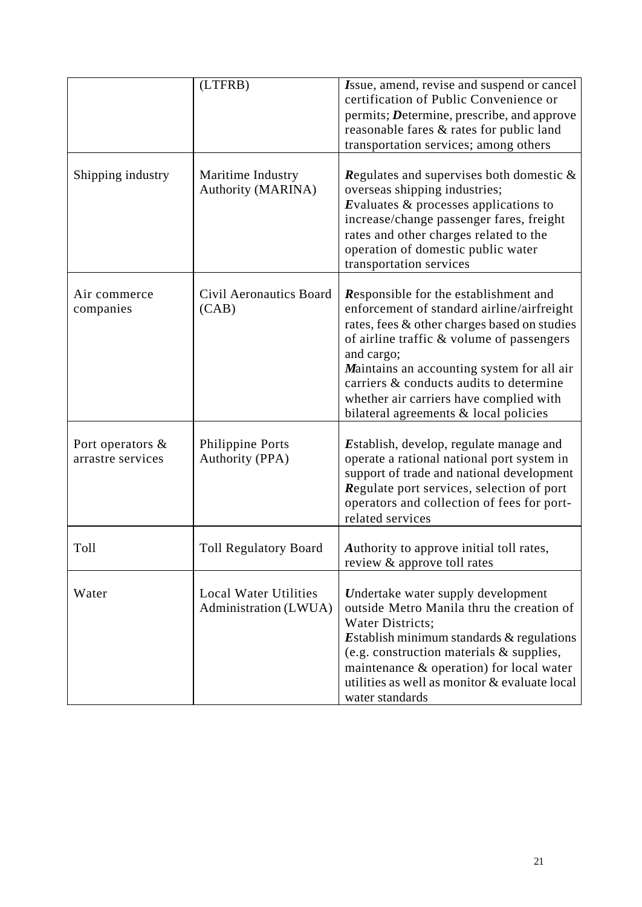|                                       | (LTFRB)                                               | Issue, amend, revise and suspend or cancel<br>certification of Public Convenience or<br>permits; Determine, prescribe, and approve<br>reasonable fares & rates for public land                                                                                                                                                                                              |
|---------------------------------------|-------------------------------------------------------|-----------------------------------------------------------------------------------------------------------------------------------------------------------------------------------------------------------------------------------------------------------------------------------------------------------------------------------------------------------------------------|
|                                       |                                                       | transportation services; among others                                                                                                                                                                                                                                                                                                                                       |
| Shipping industry                     | Maritime Industry<br><b>Authority (MARINA)</b>        | <b>Regulates and supervises both domestic <math>\&amp;</math></b><br>overseas shipping industries;<br>Evaluates $\&$ processes applications to<br>increase/change passenger fares, freight<br>rates and other charges related to the<br>operation of domestic public water<br>transportation services                                                                       |
| Air commerce<br>companies             | Civil Aeronautics Board<br>(CAB)                      | Responsible for the establishment and<br>enforcement of standard airline/airfreight<br>rates, fees & other charges based on studies<br>of airline traffic & volume of passengers<br>and cargo;<br>Maintains an accounting system for all air<br>carriers & conducts audits to determine<br>whether air carriers have complied with<br>bilateral agreements & local policies |
| Port operators &<br>arrastre services | <b>Philippine Ports</b><br>Authority (PPA)            | Establish, develop, regulate manage and<br>operate a rational national port system in<br>support of trade and national development<br>Regulate port services, selection of port<br>operators and collection of fees for port-<br>related services                                                                                                                           |
| Toll                                  | <b>Toll Regulatory Board</b>                          | Authority to approve initial toll rates,<br>review & approve toll rates                                                                                                                                                                                                                                                                                                     |
| Water                                 | <b>Local Water Utilities</b><br>Administration (LWUA) | Undertake water supply development<br>outside Metro Manila thru the creation of<br>Water Districts;<br>Establish minimum standards $\&$ regulations<br>(e.g. construction materials & supplies,<br>maintenance & operation) for local water<br>utilities as well as monitor & evaluate local<br>water standards                                                             |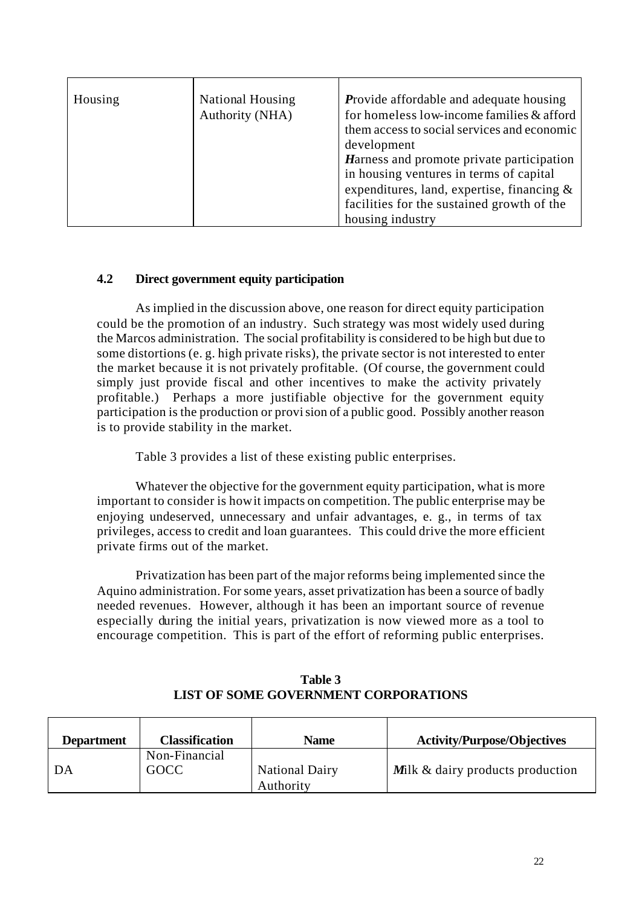| Housing | <b>National Housing</b> | <b>Provide affordable and adequate housing</b> |
|---------|-------------------------|------------------------------------------------|
|         | Authority (NHA)         | for homeless low-income families & afford      |
|         |                         | them access to social services and economic    |
|         |                         | development                                    |
|         |                         | Harness and promote private participation      |
|         |                         | in housing ventures in terms of capital        |
|         |                         | expenditures, land, expertise, financing &     |
|         |                         | facilities for the sustained growth of the     |
|         |                         | housing industry                               |

# **4.2 Direct government equity participation**

As implied in the discussion above, one reason for direct equity participation could be the promotion of an industry. Such strategy was most widely used during the Marcos administration. The social profitability is considered to be high but due to some distortions (e. g. high private risks), the private sector is not interested to enter the market because it is not privately profitable. (Of course, the government could simply just provide fiscal and other incentives to make the activity privately profitable.) Perhaps a more justifiable objective for the government equity participation is the production or provision of a public good. Possibly another reason is to provide stability in the market.

Table 3 provides a list of these existing public enterprises.

Whatever the objective for the government equity participation, what is more important to consider is how it impacts on competition. The public enterprise may be enjoying undeserved, unnecessary and unfair advantages, e. g., in terms of tax privileges, access to credit and loan guarantees. This could drive the more efficient private firms out of the market.

Privatization has been part of the major reforms being implemented since the Aquino administration. For some years, asset privatization has been a source of badly needed revenues. However, although it has been an important source of revenue especially during the initial years, privatization is now viewed more as a tool to encourage competition. This is part of the effort of reforming public enterprises.

| <b>Department</b> | <b>Classification</b>        | Name                               | <b>Activity/Purpose/Objectives</b>      |
|-------------------|------------------------------|------------------------------------|-----------------------------------------|
| DA                | Non-Financial<br><b>GOCC</b> | <b>National Dairy</b><br>Authority | <b>Milk</b> & dairy products production |

**Table 3 LIST OF SOME GOVERNMENT CORPORATIONS**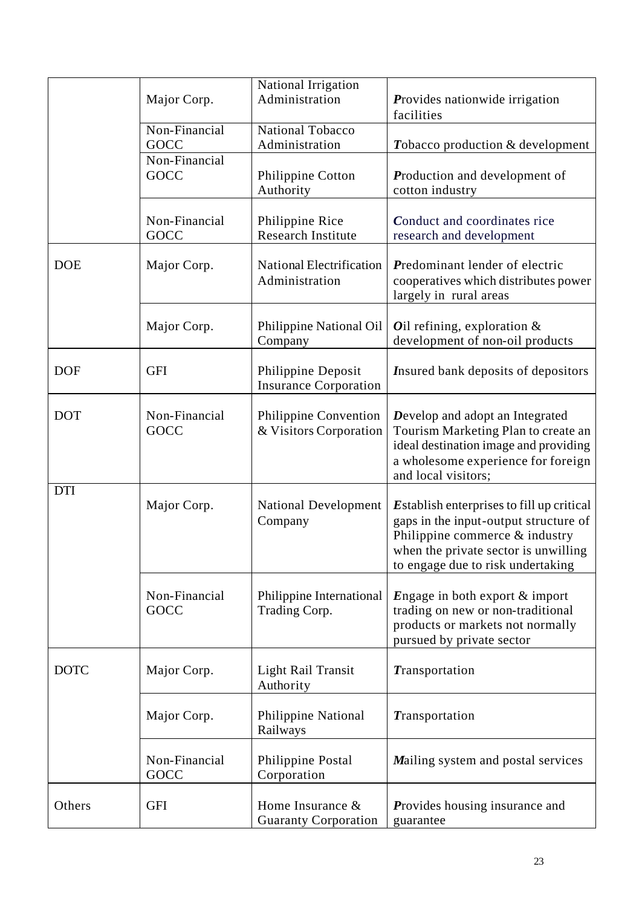|             | Major Corp.           | National Irrigation<br>Administration              | <b>Provides nationwide irrigation</b><br>facilities                                                                                                                                                        |
|-------------|-----------------------|----------------------------------------------------|------------------------------------------------------------------------------------------------------------------------------------------------------------------------------------------------------------|
|             | Non-Financial<br>GOCC | <b>National Tobacco</b><br>Administration          | Tobacco production & development                                                                                                                                                                           |
|             | Non-Financial<br>GOCC | Philippine Cotton<br>Authority                     | Production and development of<br>cotton industry                                                                                                                                                           |
|             | Non-Financial<br>GOCC | Philippine Rice<br><b>Research Institute</b>       | Conduct and coordinates rice<br>research and development                                                                                                                                                   |
| <b>DOE</b>  | Major Corp.           | <b>National Electrification</b><br>Administration  | Predominant lender of electric<br>cooperatives which distributes power<br>largely in rural areas                                                                                                           |
|             | Major Corp.           | Philippine National Oil<br>Company                 | Oil refining, exploration $\&$<br>development of non-oil products                                                                                                                                          |
| <b>DOF</b>  | <b>GFI</b>            | Philippine Deposit<br><b>Insurance Corporation</b> | Insured bank deposits of depositors                                                                                                                                                                        |
| <b>DOT</b>  | Non-Financial<br>GOCC | Philippine Convention<br>& Visitors Corporation    | Develop and adopt an Integrated<br>Tourism Marketing Plan to create an<br>ideal destination image and providing<br>a wholesome experience for foreign<br>and local visitors;                               |
| <b>DTI</b>  | Major Corp.           | <b>National Development</b><br>Company             | <b>Establish enterprises to fill up critical</b><br>gaps in the input-output structure of<br>Philippine commerce $&$ industry<br>when the private sector is unwilling<br>to engage due to risk undertaking |
|             | Non-Financial<br>GOCC | Philippine International<br>Trading Corp.          | Engage in both export $&$ import<br>trading on new or non-traditional<br>products or markets not normally<br>pursued by private sector                                                                     |
| <b>DOTC</b> | Major Corp.           | Light Rail Transit<br>Authority                    | Transportation                                                                                                                                                                                             |
|             | Major Corp.           | Philippine National<br>Railways                    | Transportation                                                                                                                                                                                             |
|             | Non-Financial<br>GOCC | Philippine Postal<br>Corporation                   | Mailing system and postal services                                                                                                                                                                         |
| Others      | <b>GFI</b>            | Home Insurance &<br><b>Guaranty Corporation</b>    | Provides housing insurance and<br>guarantee                                                                                                                                                                |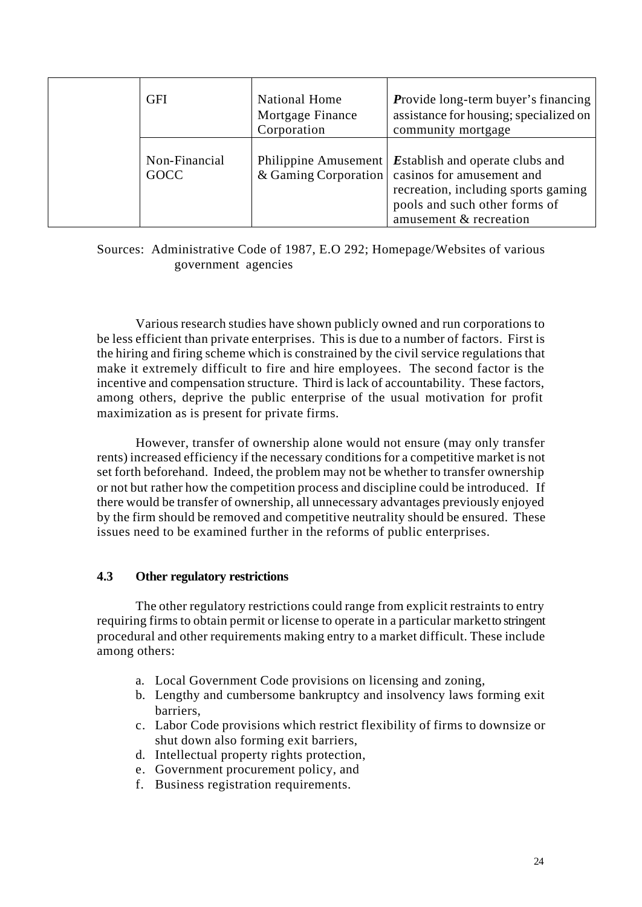| <b>GFI</b>            | <b>National Home</b><br>Mortgage Finance<br>Corporation | <b>Provide long-term buyer's financing</b><br>assistance for housing; specialized on<br>community mortgage                                                                                   |
|-----------------------|---------------------------------------------------------|----------------------------------------------------------------------------------------------------------------------------------------------------------------------------------------------|
| Non-Financial<br>GOCC | Philippine Amusement                                    | <b>Establish and operate clubs and</b><br>& Gaming Corporation   casinos for amusement and<br>recreation, including sports gaming<br>pools and such other forms of<br>amusement & recreation |

Sources: Administrative Code of 1987, E.O 292; Homepage/Websites of various government agencies

Various research studies have shown publicly owned and run corporations to be less efficient than private enterprises. This is due to a number of factors. First is the hiring and firing scheme which is constrained by the civil service regulations that make it extremely difficult to fire and hire employees. The second factor is the incentive and compensation structure. Third is lack of accountability. These factors, among others, deprive the public enterprise of the usual motivation for profit maximization as is present for private firms.

However, transfer of ownership alone would not ensure (may only transfer rents) increased efficiency if the necessary conditions for a competitive market is not set forth beforehand. Indeed, the problem may not be whether to transfer ownership or not but rather how the competition process and discipline could be introduced. If there would be transfer of ownership, all unnecessary advantages previously enjoyed by the firm should be removed and competitive neutrality should be ensured. These issues need to be examined further in the reforms of public enterprises.

## **4.3 Other regulatory restrictions**

The other regulatory restrictions could range from explicit restraints to entry requiring firms to obtain permit or license to operate in a particular market to stringent procedural and other requirements making entry to a market difficult. These include among others:

- a. Local Government Code provisions on licensing and zoning,
- b. Lengthy and cumbersome bankruptcy and insolvency laws forming exit barriers,
- c. Labor Code provisions which restrict flexibility of firms to downsize or shut down also forming exit barriers,
- d. Intellectual property rights protection,
- e. Government procurement policy, and
- f. Business registration requirements.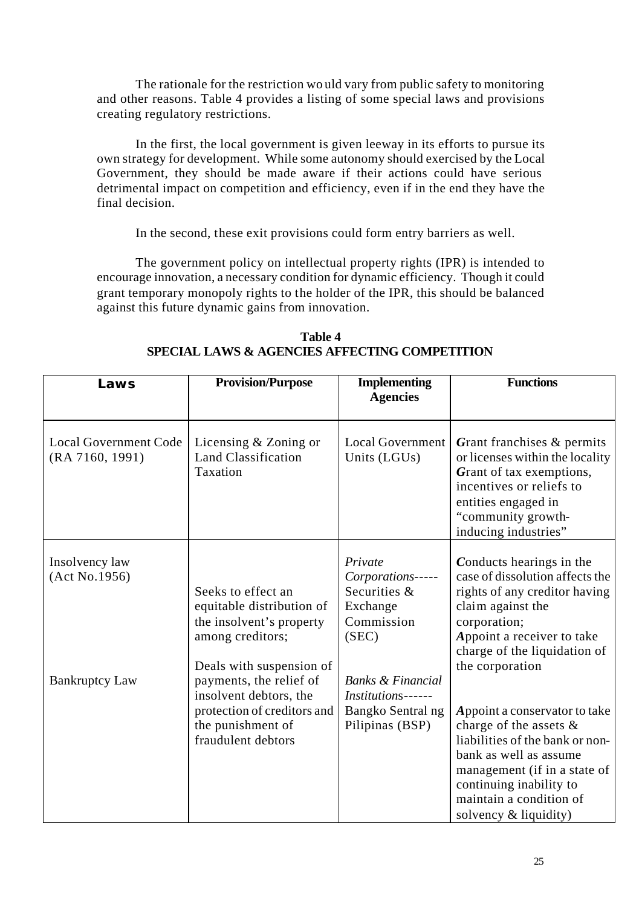The rationale for the restriction wo uld vary from public safety to monitoring and other reasons. Table 4 provides a listing of some special laws and provisions creating regulatory restrictions.

In the first, the local government is given leeway in its efforts to pursue its own strategy for development. While some autonomy should exercised by the Local Government, they should be made aware if their actions could have serious detrimental impact on competition and efficiency, even if in the end they have the final decision.

In the second, these exit provisions could form entry barriers as well.

The government policy on intellectual property rights (IPR) is intended to encourage innovation, a necessary condition for dynamic efficiency. Though it could grant temporary monopoly rights to the holder of the IPR, this should be balanced against this future dynamic gains from innovation.

| <b>Provision/Purpose</b>                                                                                                                                                                                                                                   | <b>Implementing</b><br><b>Agencies</b>                                                                                                                                        | <b>Functions</b>                                                                                                                                                                                                                                                                                                                                                                                         |
|------------------------------------------------------------------------------------------------------------------------------------------------------------------------------------------------------------------------------------------------------------|-------------------------------------------------------------------------------------------------------------------------------------------------------------------------------|----------------------------------------------------------------------------------------------------------------------------------------------------------------------------------------------------------------------------------------------------------------------------------------------------------------------------------------------------------------------------------------------------------|
| Licensing & Zoning or<br>Land Classification<br>Taxation                                                                                                                                                                                                   | <b>Local Government</b><br>Units (LGUs)                                                                                                                                       | Grant franchises & permits<br>or licenses within the locality<br>Grant of tax exemptions,<br>incentives or reliefs to<br>entities engaged in<br>"community growth-<br>inducing industries"                                                                                                                                                                                                               |
| Seeks to effect an<br>equitable distribution of<br>the insolvent's property<br>among creditors;<br>Deals with suspension of<br>payments, the relief of<br>insolvent debtors, the<br>protection of creditors and<br>the punishment of<br>fraudulent debtors | Private<br>Corporations-----<br>Securities &<br>Exchange<br>Commission<br>(SEC)<br><b>Banks &amp; Financial</b><br>Institutions------<br>Bangko Sentral ng<br>Pilipinas (BSP) | Conducts hearings in the<br>case of dissolution affects the<br>rights of any creditor having<br>claim against the<br>corporation;<br>Appoint a receiver to take<br>charge of the liquidation of<br>the corporation<br>Appoint a conservator to take<br>charge of the assets $\&$<br>liabilities of the bank or non-<br>bank as well as assume<br>management (if in a state of<br>continuing inability to |
|                                                                                                                                                                                                                                                            |                                                                                                                                                                               |                                                                                                                                                                                                                                                                                                                                                                                                          |

**Table 4 SPECIAL LAWS & AGENCIES AFFECTING COMPETITION**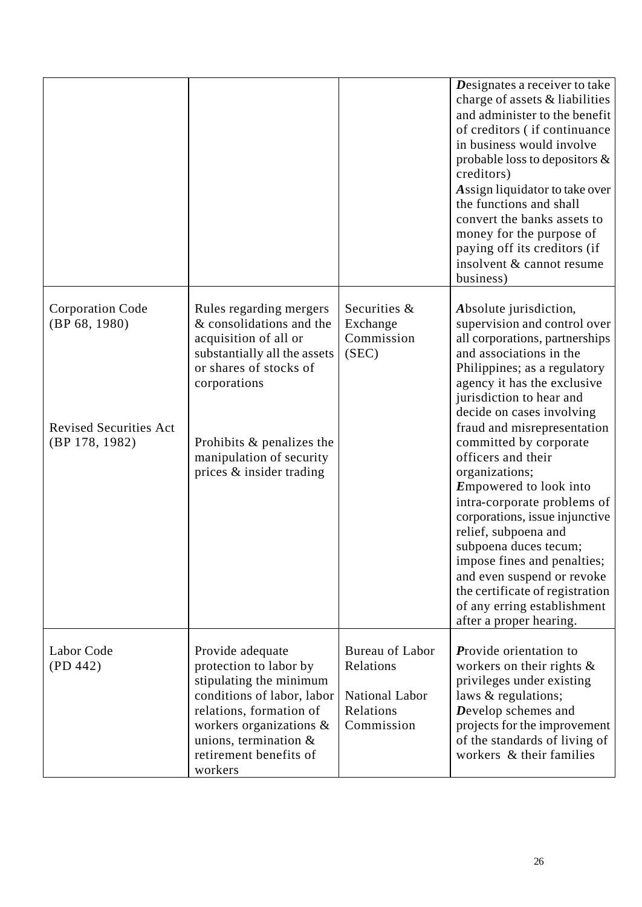|                                                                                             |                                                                                                                                                                                                                                             |                                                                                  | Designates a receiver to take<br>charge of assets & liabilities<br>and administer to the benefit<br>of creditors (if continuance<br>in business would involve<br>probable loss to depositors $\&$<br>creditors)<br>Assign liquidator to take over<br>the functions and shall<br>convert the banks assets to<br>money for the purpose of<br>paying off its creditors (if<br>insolvent & cannot resume<br>business)                                                                                                                                                                                                                                         |
|---------------------------------------------------------------------------------------------|---------------------------------------------------------------------------------------------------------------------------------------------------------------------------------------------------------------------------------------------|----------------------------------------------------------------------------------|-----------------------------------------------------------------------------------------------------------------------------------------------------------------------------------------------------------------------------------------------------------------------------------------------------------------------------------------------------------------------------------------------------------------------------------------------------------------------------------------------------------------------------------------------------------------------------------------------------------------------------------------------------------|
| <b>Corporation Code</b><br>(BP 68, 1980)<br><b>Revised Securities Act</b><br>(BP 178, 1982) | Rules regarding mergers<br>& consolidations and the<br>acquisition of all or<br>substantially all the assets<br>or shares of stocks of<br>corporations<br>Prohibits & penalizes the<br>manipulation of security<br>prices & insider trading | Securities &<br>Exchange<br>Commission<br>(SEC)                                  | Absolute jurisdiction,<br>supervision and control over<br>all corporations, partnerships<br>and associations in the<br>Philippines; as a regulatory<br>agency it has the exclusive<br>jurisdiction to hear and<br>decide on cases involving<br>fraud and misrepresentation<br>committed by corporate<br>officers and their<br>organizations;<br><b>Empowered</b> to look into<br>intra-corporate problems of<br>corporations, issue injunctive<br>relief, subpoena and<br>subpoena duces tecum;<br>impose fines and penalties;<br>and even suspend or revoke<br>the certificate of registration<br>of any erring establishment<br>after a proper hearing. |
| Labor Code<br>(PD 442)                                                                      | Provide adequate<br>protection to labor by<br>stipulating the minimum<br>conditions of labor, labor<br>relations, formation of<br>workers organizations $\&$<br>unions, termination $\&$<br>retirement benefits of<br>workers               | <b>Bureau of Labor</b><br>Relations<br>National Labor<br>Relations<br>Commission | <b>Provide orientation to</b><br>workers on their rights $\&$<br>privileges under existing<br>laws & regulations;<br>Develop schemes and<br>projects for the improvement<br>of the standards of living of<br>workers & their families                                                                                                                                                                                                                                                                                                                                                                                                                     |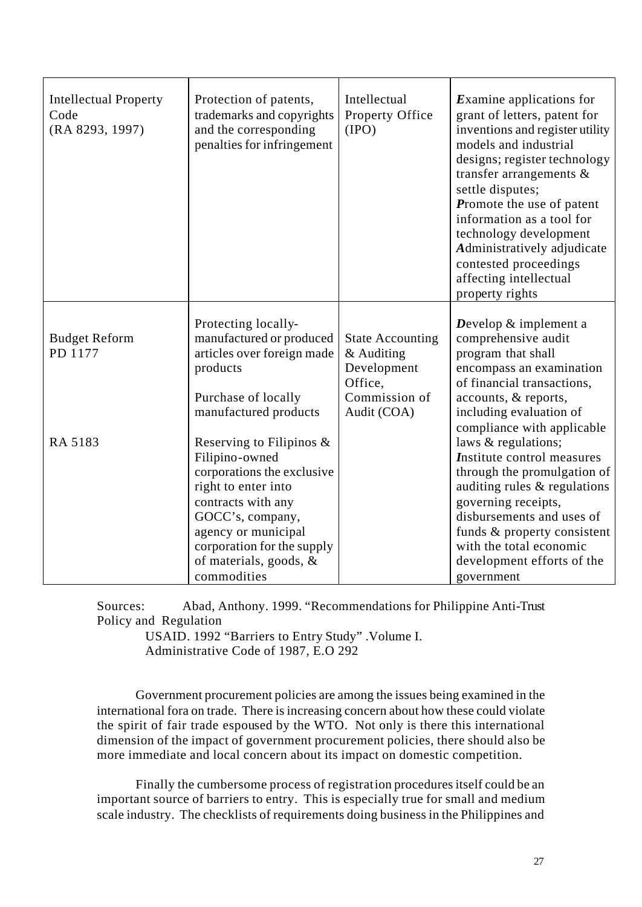| <b>Intellectual Property</b><br>Code<br>(RA 8293, 1997) | Protection of patents,<br>trademarks and copyrights<br>and the corresponding<br>penalties for infringement                                                                                                                                 | Intellectual<br>Property Office<br>(IPO)                                                        | <b>Examine applications for</b><br>grant of letters, patent for<br>inventions and register utility<br>models and industrial<br>designs; register technology<br>transfer arrangements $\&$<br>settle disputes;<br>Promote the use of patent<br>information as a tool for<br>technology development<br>Administratively adjudicate<br>contested proceedings<br>affecting intellectual<br>property rights |
|---------------------------------------------------------|--------------------------------------------------------------------------------------------------------------------------------------------------------------------------------------------------------------------------------------------|-------------------------------------------------------------------------------------------------|--------------------------------------------------------------------------------------------------------------------------------------------------------------------------------------------------------------------------------------------------------------------------------------------------------------------------------------------------------------------------------------------------------|
| <b>Budget Reform</b><br>PD 1177                         | Protecting locally-<br>manufactured or produced<br>articles over foreign made<br>products<br>Purchase of locally<br>manufactured products                                                                                                  | <b>State Accounting</b><br>& Auditing<br>Development<br>Office,<br>Commission of<br>Audit (COA) | Develop $&$ implement a<br>comprehensive audit<br>program that shall<br>encompass an examination<br>of financial transactions,<br>accounts, & reports,<br>including evaluation of                                                                                                                                                                                                                      |
| RA 5183                                                 | Reserving to Filipinos $\&$<br>Filipino-owned<br>corporations the exclusive<br>right to enter into<br>contracts with any<br>GOCC's, company,<br>agency or municipal<br>corporation for the supply<br>of materials, goods, &<br>commodities |                                                                                                 | compliance with applicable<br>laws & regulations;<br>Institute control measures<br>through the promulgation of<br>auditing rules & regulations<br>governing receipts,<br>disbursements and uses of<br>funds & property consistent<br>with the total economic<br>development efforts of the<br>government                                                                                               |

Sources: Abad, Anthony. 1999. "Recommendations for Philippine Anti-Trust Policy and Regulation

 USAID. 1992 "Barriers to Entry Study" .Volume I. Administrative Code of 1987, E.O 292

Government procurement policies are among the issues being examined in the international fora on trade. There is increasing concern about how these could violate the spirit of fair trade espoused by the WTO. Not only is there this international dimension of the impact of government procurement policies, there should also be more immediate and local concern about its impact on domestic competition.

Finally the cumbersome process of registration procedures itself could be an important source of barriers to entry. This is especially true for small and medium scale industry. The checklists of requirements doing business in the Philippines and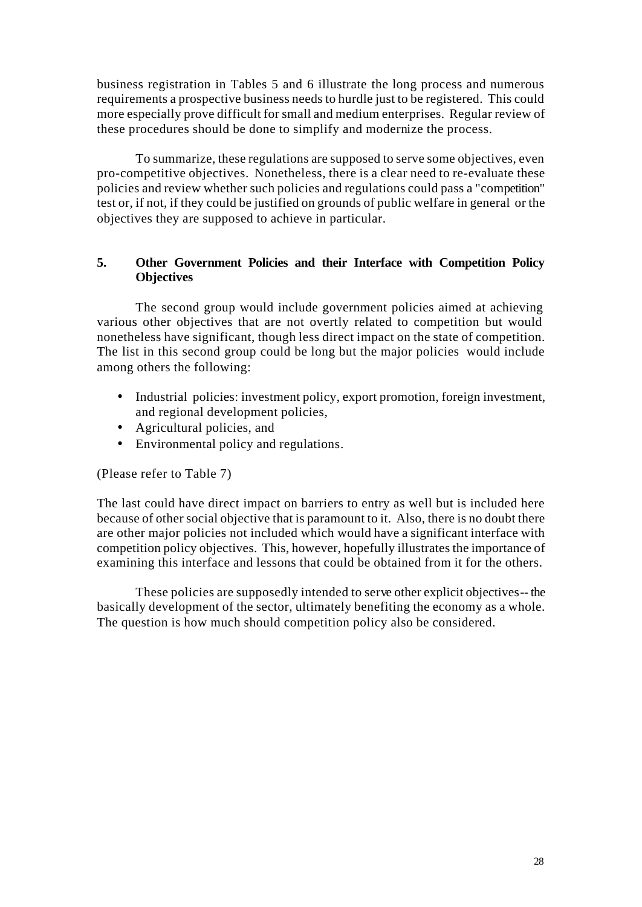business registration in Tables 5 and 6 illustrate the long process and numerous requirements a prospective business needs to hurdle just to be registered. This could more especially prove difficult for small and medium enterprises. Regular review of these procedures should be done to simplify and modernize the process.

To summarize, these regulations are supposed to serve some objectives, even pro-competitive objectives. Nonetheless, there is a clear need to re-evaluate these policies and review whether such policies and regulations could pass a "competition" test or, if not, if they could be justified on grounds of public welfare in general or the objectives they are supposed to achieve in particular.

# **5. Other Government Policies and their Interface with Competition Policy Objectives**

The second group would include government policies aimed at achieving various other objectives that are not overtly related to competition but would nonetheless have significant, though less direct impact on the state of competition. The list in this second group could be long but the major policies would include among others the following:

- Industrial policies: investment policy, export promotion, foreign investment, and regional development policies,
- Agricultural policies, and
- Environmental policy and regulations.

(Please refer to Table 7)

The last could have direct impact on barriers to entry as well but is included here because of other social objective that is paramount to it. Also, there is no doubt there are other major policies not included which would have a significant interface with competition policy objectives. This, however, hopefully illustrates the importance of examining this interface and lessons that could be obtained from it for the others.

These policies are supposedly intended to serve other explicit objectives -- the basically development of the sector, ultimately benefiting the economy as a whole. The question is how much should competition policy also be considered.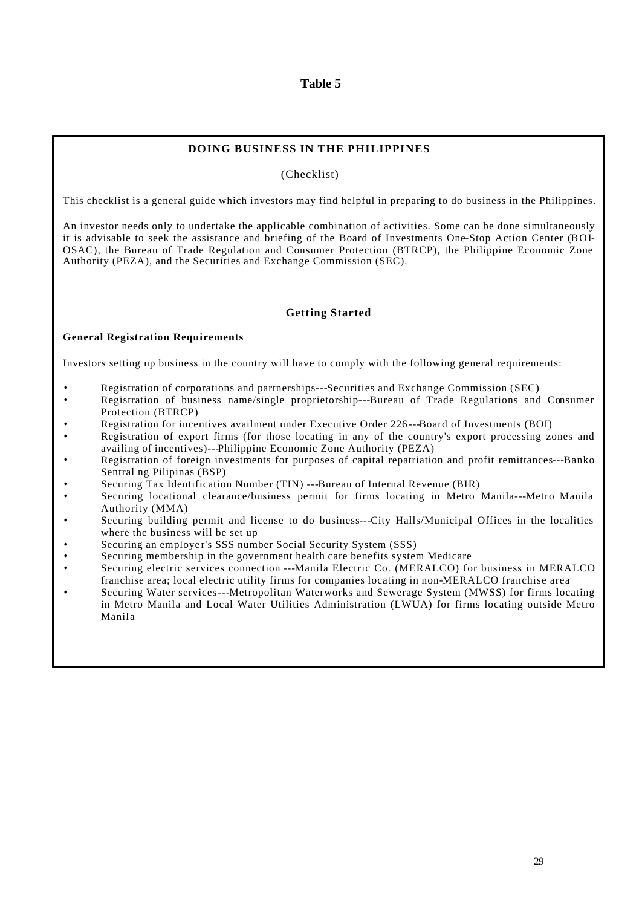## **Table 5**

#### **DOING BUSINESS IN THE PHILIPPINES**

(Checklist)

This checklist is a general guide which investors may find helpful in preparing to do business in the Philippines.

An investor needs only to undertake the applicable combination of activities. Some can be done simultaneously it is advisable to seek the assistance and briefing of the Board of Investments One-Stop Action Center (BOI-OSAC), the Bureau of Trade Regulation and Consumer Protection (BTRCP), the Philippine Economic Zone Authority (PEZA), and the Securities and Exchange Commission (SEC).

#### **Getting Started**

#### **General Registration Requirements**

Investors setting up business in the country will have to comply with the following general requirements:

- Registration of corporations and partnerships---Securities and Exchange Commission (SEC)
- Registration of business name/single proprietorship---Bureau of Trade Regulations and Consumer Protection (BTRCP)
- Registration for incentives availment under Executive Order 226 ---Board of Investments (BOI)
- Registration of export firms (for those locating in any of the country's export processing zones and availing of incentives)---Philippine Economic Zone Authority (PEZA)
- Registration of foreign investments for purposes of capital repatriation and profit remittances---Banko Sentral ng Pilipinas (BSP)
- Securing Tax Identification Number (TIN) ---Bureau of Internal Revenue (BIR)
- Securing locational clearance/business permit for firms locating in Metro Manila---Metro Manila Authority (MMA)
- Securing building permit and license to do business---City Halls/Municipal Offices in the localities where the business will be set up
- Securing an employer's SSS number Social Security System (SSS)
- Securing membership in the government health care benefits system Medicare
- Securing electric services connection ---Manila Electric Co. (MERALCO) for business in MERALCO franchise area; local electric utility firms for companies locating in non-MERALCO franchise area
- Securing Water services---Metropolitan Waterworks and Sewerage System (MWSS) for firms locating in Metro Manila and Local Water Utilities Administration (LWUA) for firms locating outside Metro Manila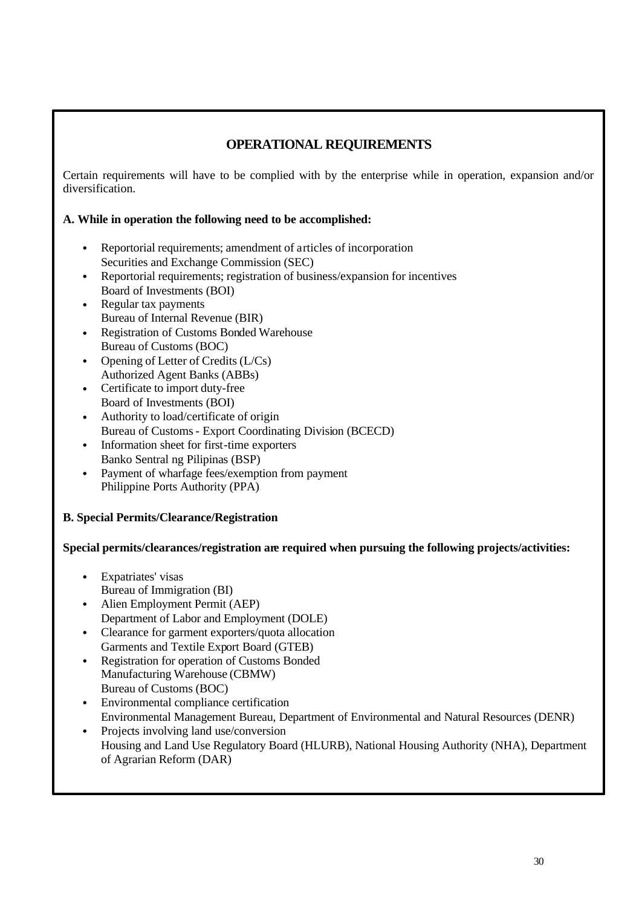# **OPERATIONAL REQUIREMENTS**

Certain requirements will have to be complied with by the enterprise while in operation, expansion and/or diversification.

# **A. While in operation the following need to be accomplished:**

- Reportorial requirements; amendment of articles of incorporation Securities and Exchange Commission (SEC)
- Reportorial requirements; registration of business/expansion for incentives Board of Investments (BOI)
- Regular tax payments Bureau of Internal Revenue (BIR)
- Registration of Customs Bonded Warehouse Bureau of Customs (BOC)
- Opening of Letter of Credits (L/Cs) Authorized Agent Banks (ABBs)
- Certificate to import duty-free Board of Investments (BOI)
- Authority to load/certificate of origin Bureau of Customs - Export Coordinating Division (BCECD)
- Information sheet for first-time exporters Banko Sentral ng Pilipinas (BSP)
- Payment of wharfage fees/exemption from payment Philippine Ports Authority (PPA)

# **B. Special Permits/Clearance/Registration**

**Special permits/clearances/registration are required when pursuing the following projects/activities:**

- Expatriates' visas Bureau of Immigration (BI)
- Alien Employment Permit (AEP) Department of Labor and Employment (DOLE)
- Clearance for garment exporters/quota allocation Garments and Textile Export Board (GTEB)
- Registration for operation of Customs Bonded Manufacturing Warehouse (CBMW) Bureau of Customs (BOC)
- Environmental compliance certification Environmental Management Bureau, Department of Environmental and Natural Resources (DENR)
- Projects involving land use/conversion Housing and Land Use Regulatory Board (HLURB), National Housing Authority (NHA), Department
- of Agrarian Reform (DAR)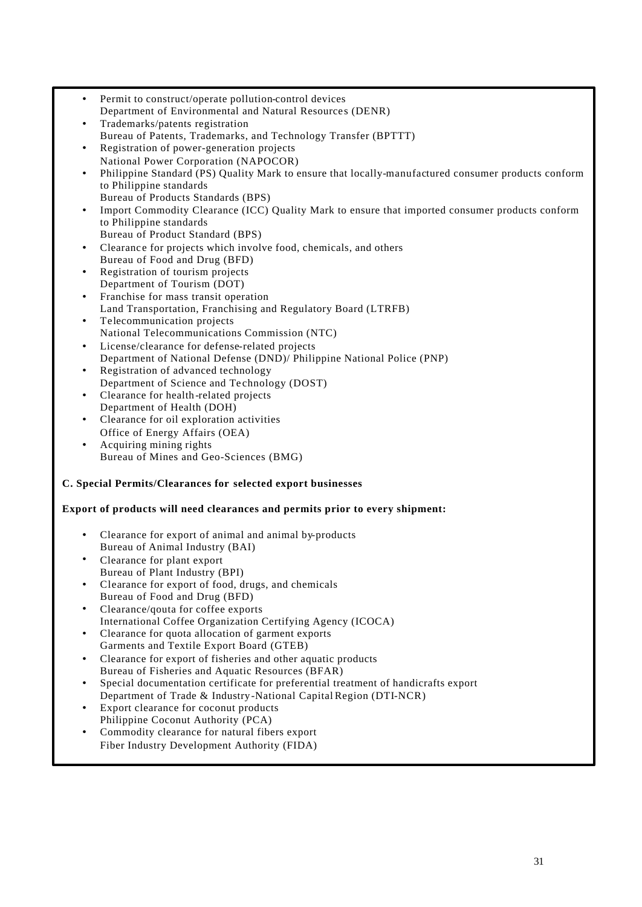• Permit to construct/operate pollution-control devices Department of Environmental and Natural Resource s (DENR) • Trademarks/patents registration Bureau of Patents, Trademarks, and Technology Transfer (BPTTT) • Registration of power-generation projects National Power Corporation (NAPOCOR) • Philippine Standard (PS) Quality Mark to ensure that locally-manufactured consumer products conform to Philippine standards Bureau of Products Standards (BPS) • Import Commodity Clearance (ICC) Quality Mark to ensure that imported consumer products conform to Philippine standards Bureau of Product Standard (BPS) Clearance for projects which involve food, chemicals, and others Bureau of Food and Drug (BFD) • Registration of tourism projects Department of Tourism (DOT) • Franchise for mass transit operation Land Transportation, Franchising and Regulatory Board (LTRFB) • Telecommunication projects National Telecommunications Commission (NTC) License/clearance for defense-related projects Department of National Defense (DND)/ Philippine National Police (PNP) • Registration of advanced technology Department of Science and Te chnology (DOST) • Clearance for health-related projects Department of Health (DOH) • Clearance for oil exploration activities Office of Energy Affairs (OEA) • Acquiring mining rights Bureau of Mines and Geo-Sciences (BMG) **C. Special Permits/Clearances for selected export businesses Export of products will need clearances and permits prior to every shipment:** • Clearance for export of animal and animal by-products Bureau of Animal Industry (BAI) • Clearance for plant export Bureau of Plant Industry (BPI) • Clearance for export of food, drugs, and chemicals Bureau of Food and Drug (BFD) • Clearance/qouta for coffee exports International Coffee Organization Certifying Agency (ICOCA) • Clearance for quota allocation of garment exports Garments and Textile Export Board (GTEB) • Clearance for export of fisheries and other aquatic products Bureau of Fisheries and Aquatic Resources (BFAR) • Special documentation certificate for preferential treatment of handicrafts export Department of Trade & Industry-National Capital Region (DTI-NCR) Export clearance for coconut products Philippine Coconut Authority (PCA) • Commodity clearance for natural fibers export Fiber Industry Development Authority (FIDA)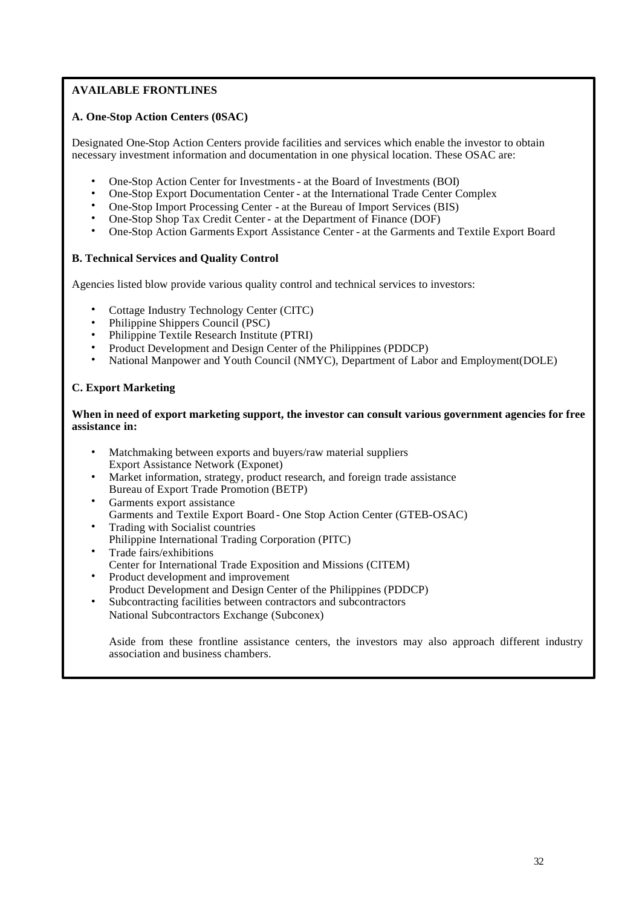# **AVAILABLE FRONTLINES**

## **A. One-Stop Action Centers (0SAC)**

Designated One-Stop Action Centers provide facilities and services which enable the investor to obtain necessary investment information and documentation in one physical location. These OSAC are:

- One-Stop Action Center for Investments at the Board of Investments (BOI)
- One-Stop Export Documentation Center at the International Trade Center Complex
- One-Stop Import Processing Center at the Bureau of Import Services (BIS)
- One-Stop Shop Tax Credit Center at the Department of Finance (DOF)
- One-Stop Action Garments Export Assistance Center at the Garments and Textile Export Board

#### **B. Technical Services and Quality Control**

Agencies listed blow provide various quality control and technical services to investors:

- Cottage Industry Technology Center (CITC)
- Philippine Shippers Council (PSC)
- Philippine Textile Research Institute (PTRI)
- Product Development and Design Center of the Philippines (PDDCP)
- National Manpower and Youth Council (NMYC), Department of Labor and Employment(DOLE)

#### **C. Export Marketing**

#### **When in need of export marketing support, the investor can consult various government agencies for free assistance in:**

- Matchmaking between exports and buyers/raw material suppliers Export Assistance Network (Exponet)
- Market information, strategy, product research, and foreign trade assistance Bureau of Export Trade Promotion (BETP)
- Garments export assistance Garments and Textile Export Board - One Stop Action Center (GTEB-OSAC)
- Trading with Socialist countries Philippine International Trading Corporation (PITC)
- Trade fairs/exhibitions
- Center for International Trade Exposition and Missions (CITEM)
- Product development and improvement
- Product Development and Design Center of the Philippines (PDDCP)
- Subcontracting facilities between contractors and subcontractors National Subcontractors Exchange (Subconex)

Aside from these frontline assistance centers, the investors may also approach different industry association and business chambers.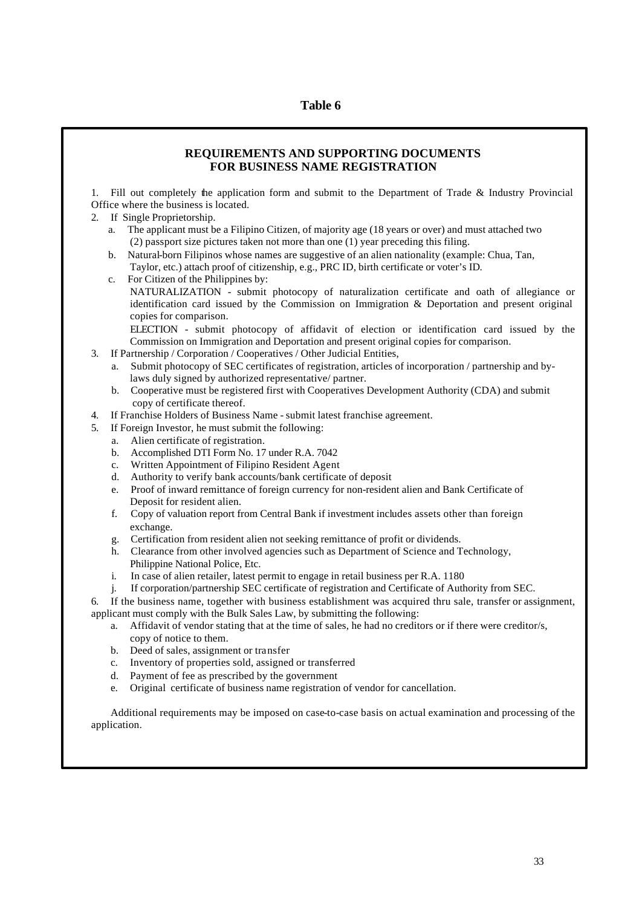#### **REQUIREMENTS AND SUPPORTING DOCUMENTS FOR BUSINESS NAME REGISTRATION**

1. Fill out completely the application form and submit to the Department of Trade & Industry Provincial Office where the business is located.

- 2. If Single Proprietorship.
	- a. The applicant must be a Filipino Citizen, of majority age (18 years or over) and must attached two (2) passport size pictures taken not more than one (1) year preceding this filing.
	- b. Natural-born Filipinos whose names are suggestive of an alien nationality (example: Chua, Tan,
		- Taylor, etc.) attach proof of citizenship, e.g., PRC ID, birth certificate or voter's ID.
	- c. For Citizen of the Philippines by: NATURALIZATION - submit photocopy of naturalization certificate and oath of allegiance or identification card issued by the Commission on Immigration & Deportation and present original copies for comparison. ELECTION - submit photocopy of affidavit of election or identification card issued by the

Commission on Immigration and Deportation and present original copies for comparison.

- 3. If Partnership / Corporation / Cooperatives / Other Judicial Entities,
	- a. Submit photocopy of SEC certificates of registration, articles of incorporation / partnership and bylaws duly signed by authorized representative/ partner.
	- b. Cooperative must be registered first with Cooperatives Development Authority (CDA) and submit copy of certificate thereof.
- 4. If Franchise Holders of Business Name submit latest franchise agreement.
- 5. If Foreign Investor, he must submit the following:
	- a. Alien certificate of registration.
	- b. Accomplished DTI Form No. 17 under R.A. 7042
	- c. Written Appointment of Filipino Resident Agent
	- d. Authority to verify bank accounts/bank certificate of deposit
	- e. Proof of inward remittance of foreign currency for non-resident alien and Bank Certificate of Deposit for resident alien.
	- f. Copy of valuation report from Central Bank if investment includes assets other than foreign exchange.
	- g. Certification from resident alien not seeking remittance of profit or dividends.
	- h. Clearance from other involved agencies such as Department of Science and Technology, Philippine National Police, Etc.
	- i. In case of alien retailer, latest permit to engage in retail business per R.A. 1180
	- j. If corporation/partnership SEC certificate of registration and Certificate of Authority from SEC.

If the business name, together with business establishment was acquired thru sale, transfer or assignment, applicant must comply with the Bulk Sales Law, by submitting the following:

- a. Affidavit of vendor stating that at the time of sales, he had no creditors or if there were creditor/s, copy of notice to them.
- b. Deed of sales, assignment or transfer
- c. Inventory of properties sold, assigned or transferred
- d. Payment of fee as prescribed by the government
- e. Original certificate of business name registration of vendor for cancellation.

Additional requirements may be imposed on case-to-case basis on actual examination and processing of the application.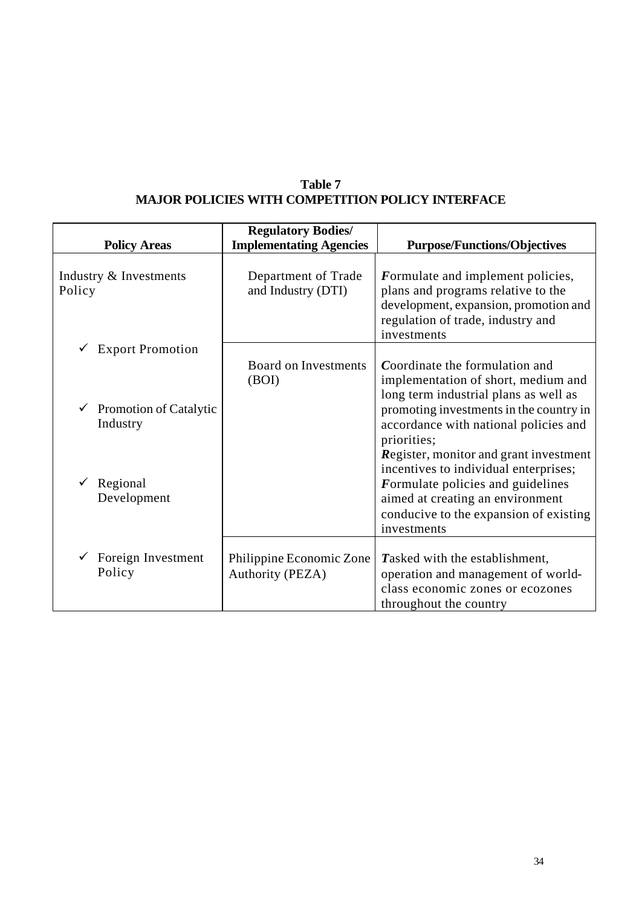| <b>Policy Areas</b>                       | <b>Regulatory Bodies/</b><br><b>Implementating Agencies</b> | <b>Purpose/Functions/Objectives</b>                                                                                                                                                       |
|-------------------------------------------|-------------------------------------------------------------|-------------------------------------------------------------------------------------------------------------------------------------------------------------------------------------------|
| Industry & Investments<br>Policy          | Department of Trade<br>and Industry (DTI)                   | Formulate and implement policies,<br>plans and programs relative to the<br>development, expansion, promotion and<br>regulation of trade, industry and<br>investments                      |
| <b>Export Promotion</b>                   | <b>Board on Investments</b><br>(BOI)                        | Coordinate the formulation and<br>implementation of short, medium and                                                                                                                     |
| <b>Promotion of Catalytic</b><br>Industry |                                                             | long term industrial plans as well as<br>promoting investments in the country in<br>accordance with national policies and<br>priorities;<br><b>Register, monitor and grant investment</b> |
| Regional<br>Development                   |                                                             | incentives to individual enterprises;<br>Formulate policies and guidelines<br>aimed at creating an environment<br>conducive to the expansion of existing<br>investments                   |
| Foreign Investment<br>Policy              | Philippine Economic Zone<br>Authority (PEZA)                | Tasked with the establishment,<br>operation and management of world-<br>class economic zones or ecozones<br>throughout the country                                                        |

# **Table 7 MAJOR POLICIES WITH COMPETITION POLICY INTERFACE**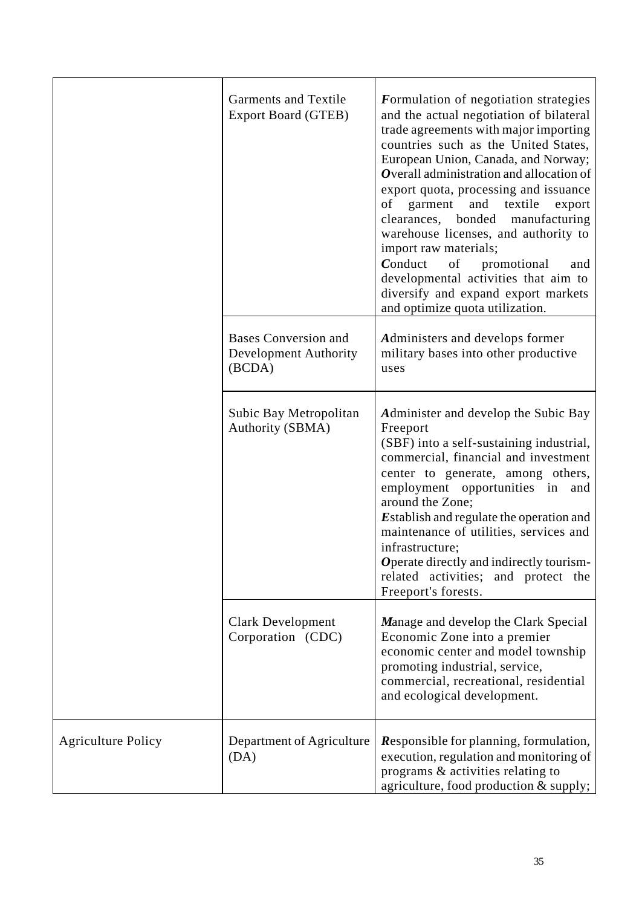|                           | Garments and Textile<br><b>Export Board (GTEB)</b>                    | Formulation of negotiation strategies<br>and the actual negotiation of bilateral<br>trade agreements with major importing<br>countries such as the United States,<br>European Union, Canada, and Norway;<br>Overall administration and allocation of<br>export quota, processing and issuance<br>of<br>garment and textile<br>export<br>clearances, bonded<br>manufacturing<br>warehouse licenses, and authority to<br>import raw materials;<br>Conduct<br>of<br>promotional<br>and<br>developmental activities that aim to<br>diversify and expand export markets<br>and optimize quota utilization. |
|---------------------------|-----------------------------------------------------------------------|-------------------------------------------------------------------------------------------------------------------------------------------------------------------------------------------------------------------------------------------------------------------------------------------------------------------------------------------------------------------------------------------------------------------------------------------------------------------------------------------------------------------------------------------------------------------------------------------------------|
|                           | <b>Bases Conversion and</b><br><b>Development Authority</b><br>(BCDA) | Administers and develops former<br>military bases into other productive<br>uses                                                                                                                                                                                                                                                                                                                                                                                                                                                                                                                       |
|                           | Subic Bay Metropolitan<br>Authority (SBMA)                            | Administer and develop the Subic Bay<br>Freeport<br>(SBF) into a self-sustaining industrial,<br>commercial, financial and investment<br>center to generate, among others,<br>employment opportunities in and<br>around the Zone;<br><b>Establish and regulate the operation and</b><br>maintenance of utilities, services and<br>infrastructure;<br>Operate directly and indirectly tourism-<br>related activities; and protect the<br>Freeport's forests.                                                                                                                                            |
|                           | Clark Development<br>Corporation (CDC)                                | Manage and develop the Clark Special<br>Economic Zone into a premier<br>economic center and model township<br>promoting industrial, service,<br>commercial, recreational, residential<br>and ecological development.                                                                                                                                                                                                                                                                                                                                                                                  |
| <b>Agriculture Policy</b> | Department of Agriculture<br>(DA)                                     | <b>Responsible for planning, formulation,</b><br>execution, regulation and monitoring of<br>programs & activities relating to<br>agriculture, food production & supply;                                                                                                                                                                                                                                                                                                                                                                                                                               |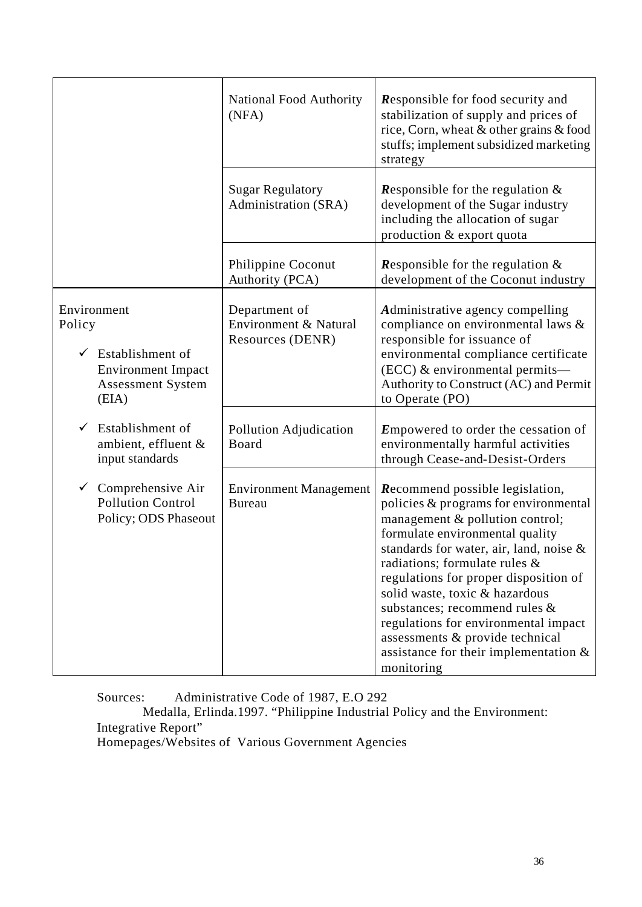|                                                                                                                          | <b>National Food Authority</b><br>(NFA)                    | <b>Responsible for food security and</b><br>stabilization of supply and prices of<br>rice, Corn, wheat & other grains & food<br>stuffs; implement subsidized marketing<br>strategy                                                                                                                                                                                                                                                                                                       |
|--------------------------------------------------------------------------------------------------------------------------|------------------------------------------------------------|------------------------------------------------------------------------------------------------------------------------------------------------------------------------------------------------------------------------------------------------------------------------------------------------------------------------------------------------------------------------------------------------------------------------------------------------------------------------------------------|
|                                                                                                                          | <b>Sugar Regulatory</b><br>Administration (SRA)            | <b>Responsible for the regulation &amp;</b><br>development of the Sugar industry<br>including the allocation of sugar<br>production & export quota                                                                                                                                                                                                                                                                                                                                       |
|                                                                                                                          | Philippine Coconut<br>Authority (PCA)                      | <b>Responsible for the regulation &amp;</b><br>development of the Coconut industry                                                                                                                                                                                                                                                                                                                                                                                                       |
| Environment<br>Policy<br>$\checkmark$ Establishment of<br><b>Environment Impact</b><br><b>Assessment System</b><br>(EIA) | Department of<br>Environment & Natural<br>Resources (DENR) | Administrative agency compelling<br>compliance on environmental laws &<br>responsible for issuance of<br>environmental compliance certificate<br>(ECC) & environmental permits-<br>Authority to Construct (AC) and Permit<br>to Operate (PO)                                                                                                                                                                                                                                             |
| Establishment of<br>ambient, effluent &<br>input standards                                                               | Pollution Adjudication<br>Board                            | <b>Empowered to order the cessation of</b><br>environmentally harmful activities<br>through Cease-and-Desist-Orders                                                                                                                                                                                                                                                                                                                                                                      |
| Comprehensive Air<br>$\checkmark$<br><b>Pollution Control</b><br>Policy; ODS Phaseout                                    | <b>Environment Management</b><br><b>Bureau</b>             | <b>Recommend possible legislation,</b><br>policies & programs for environmental<br>management & pollution control;<br>formulate environmental quality<br>standards for water, air, land, noise $\&$<br>radiations; formulate rules $\&$<br>regulations for proper disposition of<br>solid waste, toxic & hazardous<br>substances; recommend rules &<br>regulations for environmental impact<br>assessments & provide technical<br>assistance for their implementation $\&$<br>monitoring |

Sources: Administrative Code of 1987, E.O 292

 Medalla, Erlinda.1997. "Philippine Industrial Policy and the Environment: Integrative Report"

Homepages/Websites of Various Government Agencies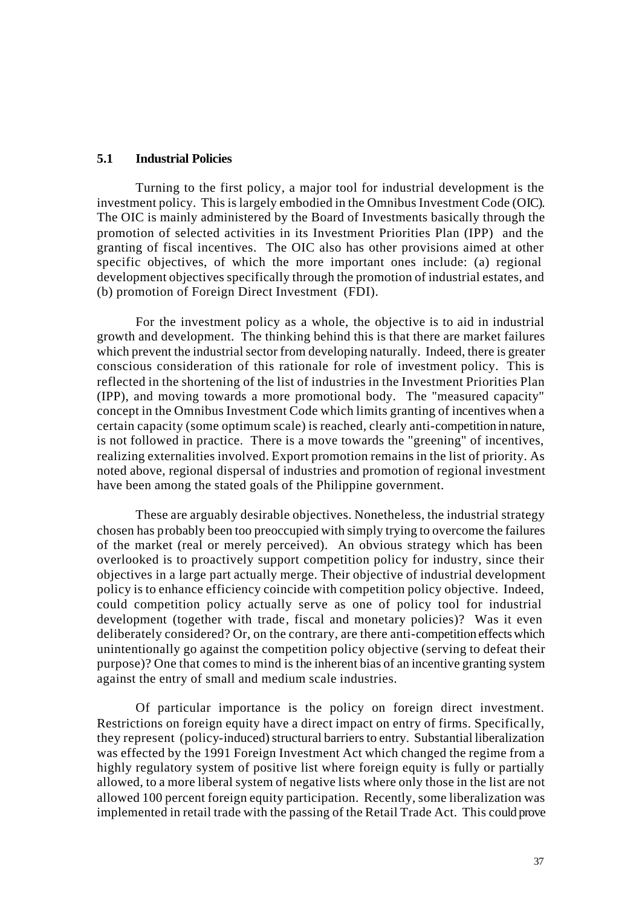### **5.1 Industrial Policies**

Turning to the first policy, a major tool for industrial development is the investment policy. This is largely embodied in the Omnibus Investment Code (OIC). The OIC is mainly administered by the Board of Investments basically through the promotion of selected activities in its Investment Priorities Plan (IPP) and the granting of fiscal incentives. The OIC also has other provisions aimed at other specific objectives, of which the more important ones include: (a) regional development objectives specifically through the promotion of industrial estates, and (b) promotion of Foreign Direct Investment (FDI).

For the investment policy as a whole, the objective is to aid in industrial growth and development. The thinking behind this is that there are market failures which prevent the industrial sector from developing naturally. Indeed, there is greater conscious consideration of this rationale for role of investment policy. This is reflected in the shortening of the list of industries in the Investment Priorities Plan (IPP), and moving towards a more promotional body. The "measured capacity" concept in the Omnibus Investment Code which limits granting of incentives when a certain capacity (some optimum scale) is reached, clearly anti-competition in nature, is not followed in practice. There is a move towards the "greening" of incentives, realizing externalities involved. Export promotion remains in the list of priority. As noted above, regional dispersal of industries and promotion of regional investment have been among the stated goals of the Philippine government.

These are arguably desirable objectives. Nonetheless, the industrial strategy chosen has probably been too preoccupied with simply trying to overcome the failures of the market (real or merely perceived). An obvious strategy which has been overlooked is to proactively support competition policy for industry, since their objectives in a large part actually merge. Their objective of industrial development policy is to enhance efficiency coincide with competition policy objective. Indeed, could competition policy actually serve as one of policy tool for industrial development (together with trade, fiscal and monetary policies)? Was it even deliberately considered? Or, on the contrary, are there anti-competition effects which unintentionally go against the competition policy objective (serving to defeat their purpose)? One that comes to mind is the inherent bias of an incentive granting system against the entry of small and medium scale industries.

Of particular importance is the policy on foreign direct investment. Restrictions on foreign equity have a direct impact on entry of firms. Specifically, they represent (policy-induced) structural barriers to entry. Substantial liberalization was effected by the 1991 Foreign Investment Act which changed the regime from a highly regulatory system of positive list where foreign equity is fully or partially allowed, to a more liberal system of negative lists where only those in the list are not allowed 100 percent foreign equity participation. Recently, some liberalization was implemented in retail trade with the passing of the Retail Trade Act. This could prove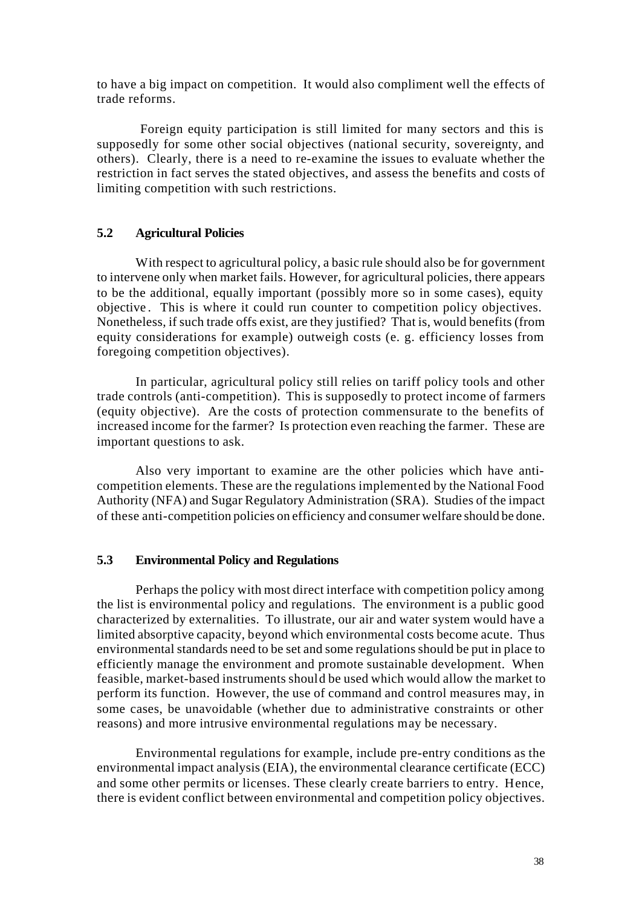to have a big impact on competition. It would also compliment well the effects of trade reforms.

 Foreign equity participation is still limited for many sectors and this is supposedly for some other social objectives (national security, sovereignty, and others). Clearly, there is a need to re-examine the issues to evaluate whether the restriction in fact serves the stated objectives, and assess the benefits and costs of limiting competition with such restrictions.

## **5.2 Agricultural Policies**

With respect to agricultural policy, a basic rule should also be for government to intervene only when market fails. However, for agricultural policies, there appears to be the additional, equally important (possibly more so in some cases), equity objective . This is where it could run counter to competition policy objectives. Nonetheless, if such trade offs exist, are they justified? That is, would benefits (from equity considerations for example) outweigh costs (e. g. efficiency losses from foregoing competition objectives).

In particular, agricultural policy still relies on tariff policy tools and other trade controls (anti-competition). This is supposedly to protect income of farmers (equity objective). Are the costs of protection commensurate to the benefits of increased income for the farmer? Is protection even reaching the farmer. These are important questions to ask.

Also very important to examine are the other policies which have anticompetition elements. These are the regulations implemented by the National Food Authority (NFA) and Sugar Regulatory Administration (SRA). Studies of the impact of these anti-competition policies on efficiency and consumer welfare should be done.

## **5.3 Environmental Policy and Regulations**

Perhaps the policy with most direct interface with competition policy among the list is environmental policy and regulations. The environment is a public good characterized by externalities. To illustrate, our air and water system would have a limited absorptive capacity, beyond which environmental costs become acute. Thus environmental standards need to be set and some regulations should be put in place to efficiently manage the environment and promote sustainable development. When feasible, market-based instruments should be used which would allow the market to perform its function. However, the use of command and control measures may, in some cases, be unavoidable (whether due to administrative constraints or other reasons) and more intrusive environmental regulations may be necessary.

Environmental regulations for example, include pre-entry conditions as the environmental impact analysis (EIA), the environmental clearance certificate (ECC) and some other permits or licenses. These clearly create barriers to entry. Hence, there is evident conflict between environmental and competition policy objectives.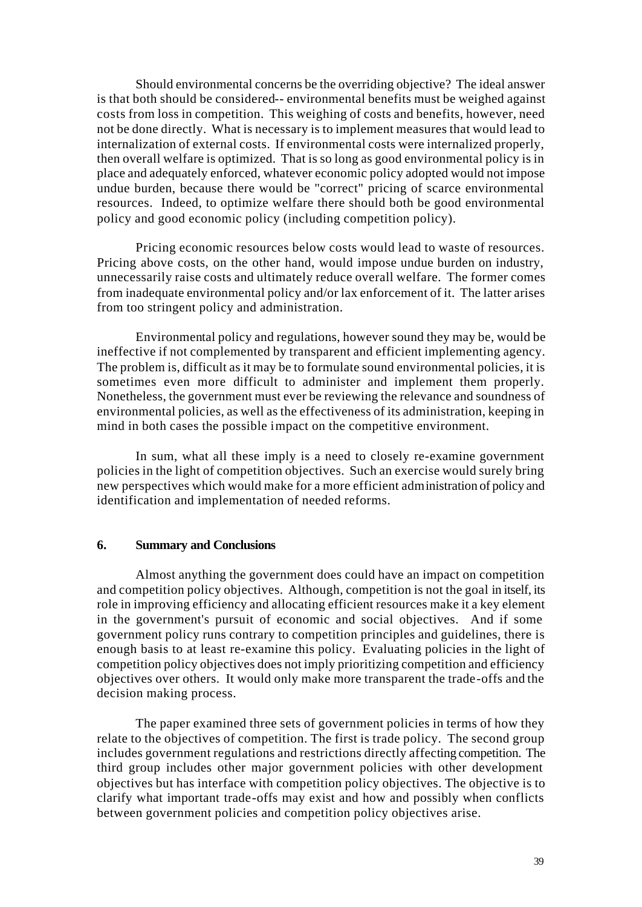Should environmental concerns be the overriding objective? The ideal answer is that both should be considered-- environmental benefits must be weighed against costs from loss in competition. This weighing of costs and benefits, however, need not be done directly. What is necessary is to implement measures that would lead to internalization of external costs. If environmental costs were internalized properly, then overall welfare is optimized. That is so long as good environmental policy is in place and adequately enforced, whatever economic policy adopted would not impose undue burden, because there would be "correct" pricing of scarce environmental resources. Indeed, to optimize welfare there should both be good environmental policy and good economic policy (including competition policy).

Pricing economic resources below costs would lead to waste of resources. Pricing above costs, on the other hand, would impose undue burden on industry, unnecessarily raise costs and ultimately reduce overall welfare. The former comes from inadequate environmental policy and/or lax enforcement of it. The latter arises from too stringent policy and administration.

Environmental policy and regulations, however sound they may be, would be ineffective if not complemented by transparent and efficient implementing agency. The problem is, difficult as it may be to formulate sound environmental policies, it is sometimes even more difficult to administer and implement them properly. Nonetheless, the government must ever be reviewing the relevance and soundness of environmental policies, as well as the effectiveness of its administration, keeping in mind in both cases the possible impact on the competitive environment.

In sum, what all these imply is a need to closely re-examine government policies in the light of competition objectives. Such an exercise would surely bring new perspectives which would make for a more efficient administration of policy and identification and implementation of needed reforms.

#### **6. Summary and Conclusions**

Almost anything the government does could have an impact on competition and competition policy objectives. Although, competition is not the goal in itself, its role in improving efficiency and allocating efficient resources make it a key element in the government's pursuit of economic and social objectives. And if some government policy runs contrary to competition principles and guidelines, there is enough basis to at least re-examine this policy. Evaluating policies in the light of competition policy objectives does not imply prioritizing competition and efficiency objectives over others. It would only make more transparent the trade-offs and the decision making process.

The paper examined three sets of government policies in terms of how they relate to the objectives of competition. The first is trade policy. The second group includes government regulations and restrictions directly affecting competition. The third group includes other major government policies with other development objectives but has interface with competition policy objectives. The objective is to clarify what important trade-offs may exist and how and possibly when conflicts between government policies and competition policy objectives arise.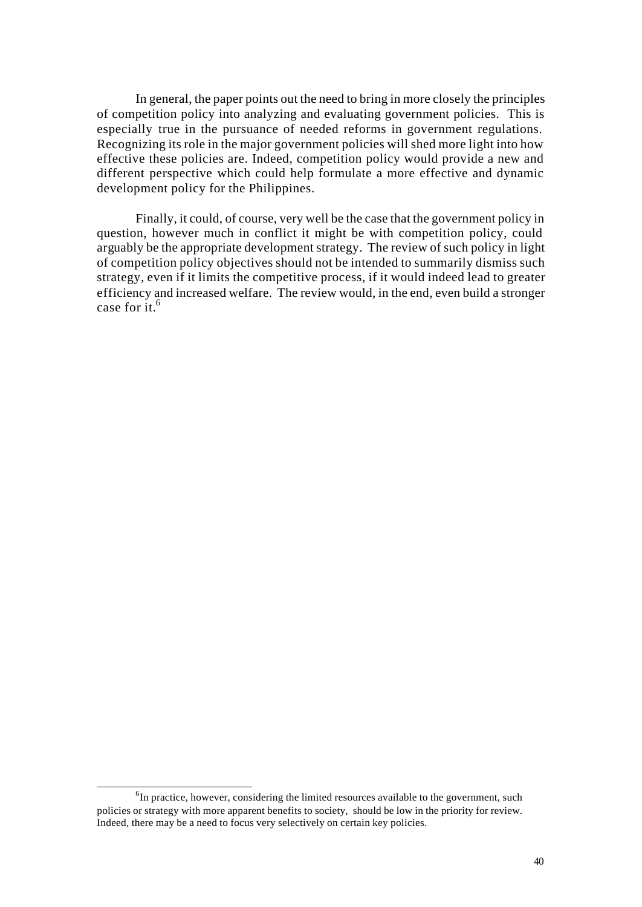In general, the paper points out the need to bring in more closely the principles of competition policy into analyzing and evaluating government policies. This is especially true in the pursuance of needed reforms in government regulations. Recognizing its role in the major government policies will shed more light into how effective these policies are. Indeed, competition policy would provide a new and different perspective which could help formulate a more effective and dynamic development policy for the Philippines.

Finally, it could, of course, very well be the case that the government policy in question, however much in conflict it might be with competition policy, could arguably be the appropriate development strategy. The review of such policy in light of competition policy objectives should not be intended to summarily dismiss such strategy, even if it limits the competitive process, if it would indeed lead to greater efficiency and increased welfare. The review would, in the end, even build a stronger case for it.<sup>6</sup>

l

<sup>&</sup>lt;sup>6</sup>In practice, however, considering the limited resources available to the government, such policies or strategy with more apparent benefits to society, should be low in the priority for review. Indeed, there may be a need to focus very selectively on certain key policies.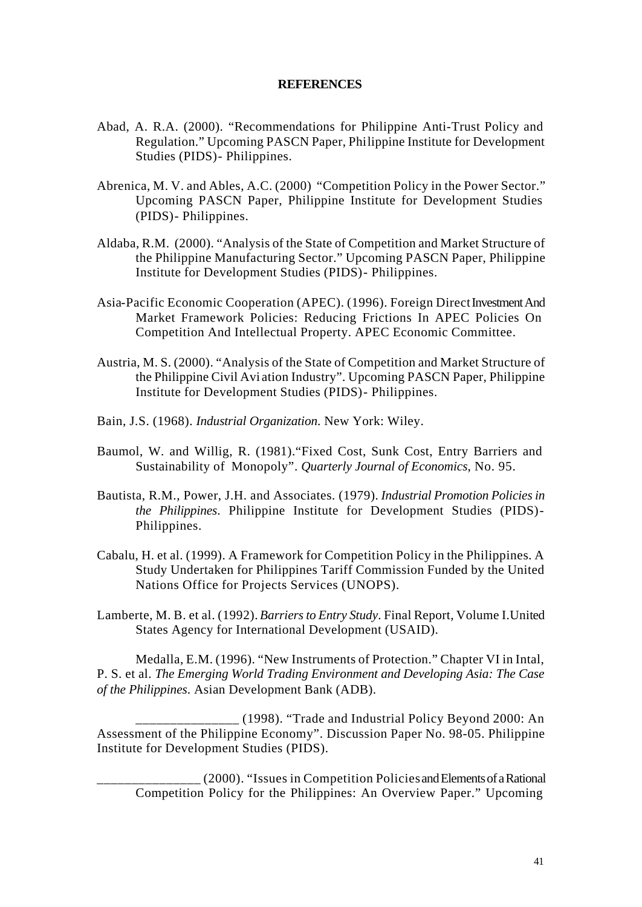#### **REFERENCES**

- Abad, A. R.A. (2000). "Recommendations for Philippine Anti-Trust Policy and Regulation." Upcoming PASCN Paper, Philippine Institute for Development Studies (PIDS)- Philippines.
- Abrenica, M. V. and Ables, A.C. (2000) "Competition Policy in the Power Sector." Upcoming PASCN Paper, Philippine Institute for Development Studies (PIDS)- Philippines.
- Aldaba, R.M. (2000). "Analysis of the State of Competition and Market Structure of the Philippine Manufacturing Sector." Upcoming PASCN Paper, Philippine Institute for Development Studies (PIDS)- Philippines.
- Asia-Pacific Economic Cooperation (APEC). (1996). Foreign Direct Investment And Market Framework Policies: Reducing Frictions In APEC Policies On Competition And Intellectual Property. APEC Economic Committee.
- Austria, M. S. (2000). "Analysis of the State of Competition and Market Structure of the Philippine Civil Avi ation Industry". Upcoming PASCN Paper, Philippine Institute for Development Studies (PIDS)- Philippines.
- Bain, J.S. (1968). *Industrial Organization*. New York: Wiley.
- Baumol, W. and Willig, R. (1981)."Fixed Cost, Sunk Cost, Entry Barriers and Sustainability of Monopoly". *Quarterly Journal of Economics*, No. 95.
- Bautista, R.M., Power, J.H. and Associates. (1979). *Industrial Promotion Policies in the Philippines*. Philippine Institute for Development Studies (PIDS)- Philippines.
- Cabalu, H. et al. (1999). A Framework for Competition Policy in the Philippines. A Study Undertaken for Philippines Tariff Commission Funded by the United Nations Office for Projects Services (UNOPS).
- Lamberte, M. B. et al. (1992). *Barriers to Entry Study*. Final Report, Volume I.United States Agency for International Development (USAID).

Medalla, E.M. (1996). "New Instruments of Protection." Chapter VI in Intal, P. S. et al. *The Emerging World Trading Environment and Developing Asia: The Case of the Philippines*. Asian Development Bank (ADB).

\_\_\_\_\_\_\_\_\_\_\_\_\_\_\_ (1998). "Trade and Industrial Policy Beyond 2000: An Assessment of the Philippine Economy". Discussion Paper No. 98-05. Philippine Institute for Development Studies (PIDS).

\_\_\_\_\_\_\_\_\_\_\_\_\_\_\_ (2000). "Issues in Competition Policies and Elements of a Rational Competition Policy for the Philippines: An Overview Paper." Upcoming